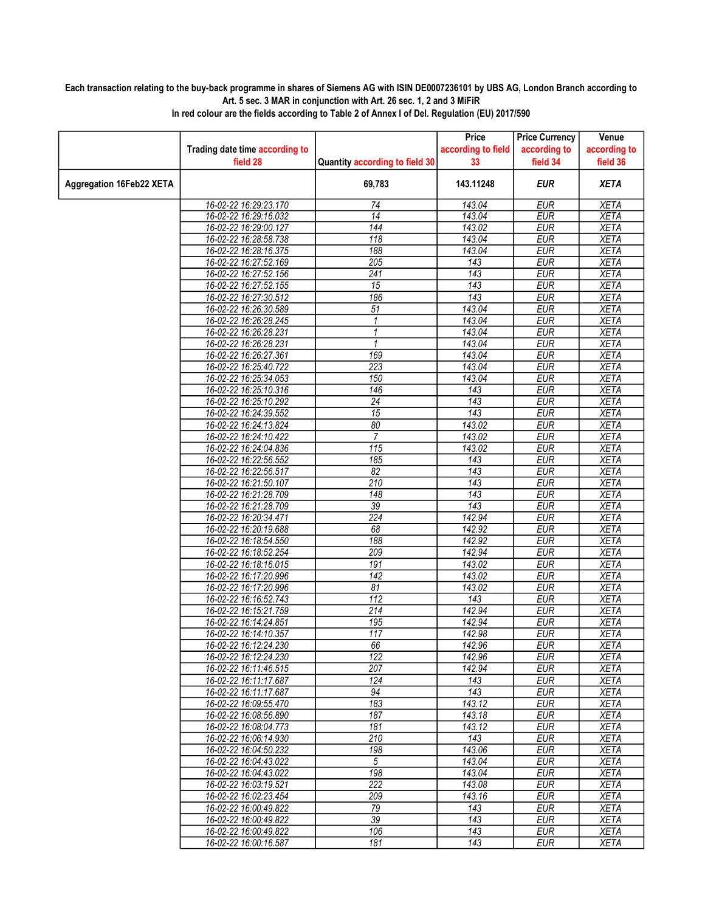## Each transaction relating to the buy-back programme in shares of Siemens AG with ISIN DE0007236101 by UBS AG, London Branch according to Art. 5 sec. 3 MAR in conjunction with Art. 26 sec. 1, 2 and 3 MiFiR

|                                 |                                                |                                | Price              | <b>Price Currency</b>    | Venue                      |
|---------------------------------|------------------------------------------------|--------------------------------|--------------------|--------------------------|----------------------------|
|                                 | Trading date time according to                 |                                | according to field | according to             | according to               |
|                                 | field 28                                       | Quantity according to field 30 | 33                 | field 34                 | field 36                   |
| <b>Aggregation 16Feb22 XETA</b> |                                                | 69,783                         | 143.11248          | <b>EUR</b>               | <b>XETA</b>                |
|                                 | 16-02-22 16:29:23.170                          | 74                             | 143.04             | <b>EUR</b>               | <b>XETA</b>                |
|                                 | 16-02-22 16:29:16.032                          | $\overline{14}$                | 143.04             | <b>EUR</b>               | <b>XETA</b>                |
|                                 | 16-02-22 16:29:00.127                          | 144                            | 143.02             | <b>EUR</b>               | <b>XETA</b>                |
|                                 | 16-02-22 16:28:58.738                          | 118                            | 143.04             | <b>EUR</b>               | <b>XETA</b>                |
|                                 | 16-02-22 16:28:16.375                          | 188                            | 143.04             | <b>EUR</b>               | <b>XETA</b>                |
|                                 | 16-02-22 16:27:52.169                          | $\overline{205}$               | 143                | <b>EUR</b>               | <b>XETA</b>                |
|                                 | 16-02-22 16:27:52.156                          | $\overline{241}$               | $\overline{143}$   | <b>EUR</b>               | <b>XETA</b>                |
|                                 | 16-02-22 16:27:52.155                          | 15                             | $\overline{143}$   | <b>EUR</b>               | <b>XETA</b>                |
|                                 | 16-02-22 16:27:30.512                          | 186                            | 143                | <b>EUR</b>               | <b>XETA</b>                |
|                                 | 16-02-22 16:26:30.589                          | $\overline{51}$                | 143.04             | <b>EUR</b>               | <b>XETA</b>                |
|                                 | 16-02-22 16:26:28.245                          | 1                              | 143.04             | <b>EUR</b>               | <b>XETA</b>                |
|                                 | 16-02-22 16:26:28.231                          | 1                              | 143.04             | <b>EUR</b>               | <b>XETA</b>                |
|                                 | 16-02-22 16:26:28.231                          | 1                              | 143.04             | <b>EUR</b>               | <b>XETA</b>                |
|                                 | 16-02-22 16:26:27.361                          | 169                            | 143.04             | <b>EUR</b>               | <b>XETA</b>                |
|                                 | 16-02-22 16:25:40.722                          | 223                            | 143.04             | <b>EUR</b>               | <b>XETA</b>                |
|                                 | 16-02-22 16:25:34.053                          | 150                            | 143.04             | <b>EUR</b>               | <b>XETA</b>                |
|                                 | 16-02-22 16:25:10.316                          | $\overline{146}$               | 143                | <b>EUR</b>               | <b>XETA</b>                |
|                                 | 16-02-22 16:25:10.292                          | $\overline{24}$                | $\overline{143}$   | <b>EUR</b>               | <b>XETA</b>                |
|                                 | 16-02-22 16:24:39.552                          | $\overline{15}$                | 143                | <b>EUR</b>               | <b>XETA</b>                |
|                                 | 16-02-22 16:24:13.824                          | 80                             | 143.02             | <b>EUR</b>               | <b>XETA</b>                |
|                                 | 16-02-22 16:24:10.422                          | $\overline{7}$                 | 143.02             | <b>EUR</b>               | <b>XETA</b>                |
|                                 | 16-02-22 16:24:04.836                          | 115                            | 143.02             | <b>EUR</b>               | <b>XETA</b>                |
|                                 | 16-02-22 16:22:56.552                          | 185                            | 143                | <b>EUR</b>               | <b>XETA</b>                |
|                                 | 16-02-22 16:22:56.517                          | 82                             | 143                | <b>EUR</b>               | <b>XETA</b>                |
|                                 | 16-02-22 16:21:50.107                          | 210                            | 143                | <b>EUR</b>               | <b>XETA</b>                |
|                                 | 16-02-22 16:21:28.709                          | 148                            | 143                | <b>EUR</b>               | <b>XETA</b>                |
|                                 | 16-02-22 16:21:28.709                          | $\overline{39}$                | 143                | <b>EUR</b>               | <b>XETA</b>                |
|                                 | 16-02-22 16:20:34.471                          | $\overline{224}$               | 142.94             | <b>EUR</b>               | <b>XETA</b>                |
|                                 | 16-02-22 16:20:19.688                          | 68                             | 142.92             | <b>EUR</b>               | <b>XETA</b>                |
|                                 | 16-02-22 16:18:54.550                          | 188                            | 142.92             | <b>EUR</b>               | <b>XETA</b>                |
|                                 | 16-02-22 16:18:52.254                          | 209                            | 142.94             | <b>EUR</b>               | <b>XETA</b>                |
|                                 | 16-02-22 16:18:16.015                          | 191                            | 143.02             | <b>EUR</b>               | <b>XETA</b>                |
|                                 | 16-02-22 16:17:20.996                          | $\overline{142}$               | 143.02             | <b>EUR</b>               | <b>XETA</b>                |
|                                 | 16-02-22 16:17:20.996                          | 81                             | 143.02             | <b>EUR</b>               | <b>XETA</b>                |
|                                 | 16-02-22 16:16:52.743                          | 112<br>$\overline{214}$        | 143<br>142.94      | <b>EUR</b>               | <b>XETA</b><br><b>XETA</b> |
|                                 | 16-02-22 16:15:21.759<br>16-02-22 16:14:24.851 | 195                            | 142.94             | <b>EUR</b><br><b>EUR</b> | <b>XETA</b>                |
|                                 | 16-02-22 16:14:10.357                          | 117                            | 142.98             | <b>EUR</b>               | <b>XETA</b>                |
|                                 | 16-02-22 16:12:24.230                          | 66                             | 142.96             | <b>EUR</b>               | <b>XETA</b>                |
|                                 | 16-02-22 16:12:24.230                          | 122                            | 142.96             | <b>EUR</b>               | <b>XETA</b>                |
|                                 | 16-02-22 16:11:46.515                          | 207                            | 142.94             | EUR                      | XETA                       |
|                                 | 16-02-22 16:11:17.687                          | 124                            | 143                | <b>EUR</b>               | <b>XETA</b>                |
|                                 | 16-02-22 16:11:17.687                          | 94                             | $\overline{143}$   | <b>EUR</b>               | <b>XETA</b>                |
|                                 | 16-02-22 16:09:55.470                          | 183                            | 143.12             | <b>EUR</b>               | XETA                       |
|                                 | 16-02-22 16:08:56.890                          | 187                            | 143.18             | <b>EUR</b>               | <b>XETA</b>                |
|                                 | 16-02-22 16:08:04.773                          | 181                            | 143.12             | <b>EUR</b>               | <b>XETA</b>                |
|                                 | 16-02-22 16:06:14.930                          | 210                            | 143                | <b>EUR</b>               | XETA                       |
|                                 | 16-02-22 16:04:50.232                          | 198                            | 143.06             | <b>EUR</b>               | <b>XETA</b>                |
|                                 | 16-02-22 16:04:43.022                          | $\sqrt{5}$                     | 143.04             | <b>EUR</b>               | <b>XETA</b>                |
|                                 | 16-02-22 16:04:43.022                          | 198                            | 143.04             | <b>EUR</b>               | <b>XETA</b>                |
|                                 | 16-02-22 16:03:19.521                          | $\overline{222}$               | 143.08             | <b>EUR</b>               | <b>XETA</b>                |
|                                 | 16-02-22 16:02:23.454                          | 209                            | 143.16             | <b>EUR</b>               | <b>XETA</b>                |
|                                 | 16-02-22 16:00:49.822                          | 79                             | 143                | <b>EUR</b>               | <b>XETA</b>                |
|                                 | 16-02-22 16:00:49.822                          | 39                             | 143                | <b>EUR</b>               | <b>XETA</b>                |
|                                 | 16-02-22 16:00:49.822                          | 106                            | 143                | <b>EUR</b>               | <b>XETA</b>                |
|                                 | 16-02-22 16:00:16.587                          | 181                            | 143                | <b>EUR</b>               | <b>XETA</b>                |

In red colour are the fields according to Table 2 of Annex I of Del. Regulation (EU) 2017/590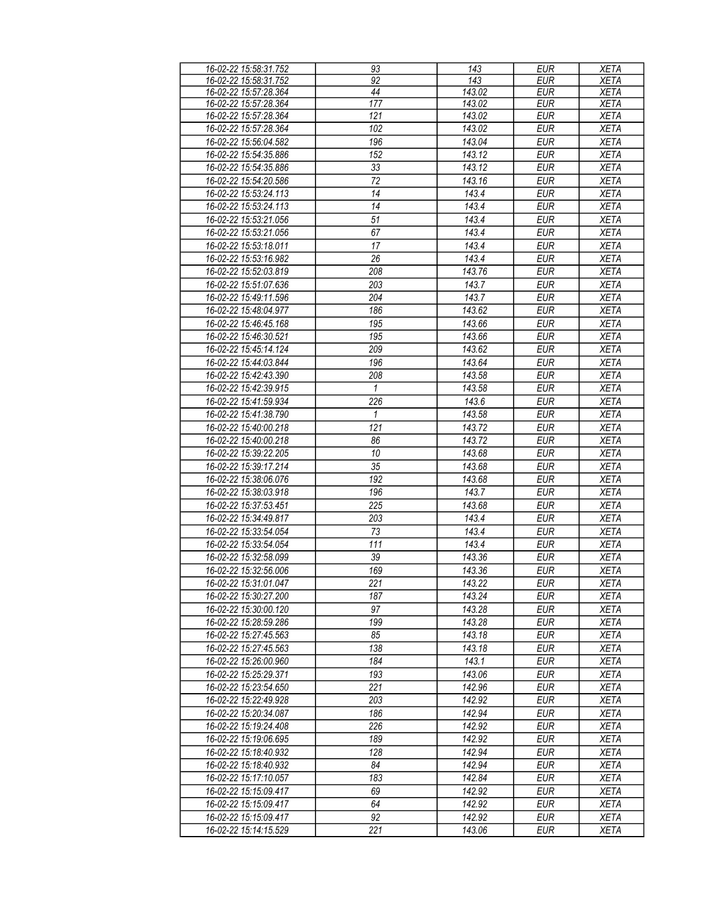| 16-02-22 15:58:31.752 | 93               | 143    | <b>EUR</b> | <b>XETA</b> |
|-----------------------|------------------|--------|------------|-------------|
| 16-02-22 15:58:31.752 | 92               | 143    | <b>EUR</b> | <b>XETA</b> |
| 16-02-22 15:57:28.364 | 44               | 143.02 | <b>EUR</b> | <b>XETA</b> |
| 16-02-22 15:57:28.364 | $\overline{177}$ | 143.02 | <b>EUR</b> | <b>XETA</b> |
| 16-02-22 15:57:28.364 | 121              | 143.02 | <b>EUR</b> | <b>XETA</b> |
| 16-02-22 15:57:28.364 | 102              | 143.02 | <b>EUR</b> | <b>XETA</b> |
| 16-02-22 15:56:04.582 | 196              | 143.04 | <b>EUR</b> | <b>XETA</b> |
| 16-02-22 15:54:35.886 | 152              | 143.12 | <b>EUR</b> | <b>XETA</b> |
|                       |                  |        |            |             |
| 16-02-22 15:54:35.886 | 33               | 143.12 | <b>EUR</b> | XETA        |
| 16-02-22 15:54:20.586 | 72               | 143.16 | <b>EUR</b> | <b>XETA</b> |
| 16-02-22 15:53:24.113 | 14               | 143.4  | <b>EUR</b> | <b>XETA</b> |
| 16-02-22 15:53:24.113 | 14               | 143.4  | <b>EUR</b> | <b>XETA</b> |
| 16-02-22 15:53:21.056 | 51               | 143.4  | <b>EUR</b> | <b>XETA</b> |
| 16-02-22 15:53:21.056 | 67               | 143.4  | <b>EUR</b> | <b>XETA</b> |
| 16-02-22 15:53:18.011 | 17               | 143.4  | <b>EUR</b> | <b>XETA</b> |
| 16-02-22 15:53:16.982 | 26               | 143.4  | <b>EUR</b> | <b>XETA</b> |
| 16-02-22 15:52:03.819 | 208              | 143.76 | <b>EUR</b> | <b>XETA</b> |
| 16-02-22 15:51:07.636 | 203              | 143.7  | <b>EUR</b> | <b>XETA</b> |
|                       |                  |        |            |             |
| 16-02-22 15:49:11.596 | 204              | 143.7  | <b>EUR</b> | <b>XETA</b> |
| 16-02-22 15:48:04.977 | 186              | 143.62 | <b>EUR</b> | <b>XETA</b> |
| 16-02-22 15:46:45.168 | 195              | 143.66 | <b>EUR</b> | <b>XETA</b> |
| 16-02-22 15:46:30.521 | 195              | 143.66 | <b>EUR</b> | <b>XETA</b> |
| 16-02-22 15:45:14.124 | 209              | 143.62 | <b>EUR</b> | <b>XETA</b> |
| 16-02-22 15:44:03.844 | 196              | 143.64 | <b>EUR</b> | <b>XETA</b> |
| 16-02-22 15:42:43.390 | 208              | 143.58 | <b>EUR</b> | <b>XETA</b> |
| 16-02-22 15:42:39.915 | 1                | 143.58 | <b>EUR</b> | <b>XETA</b> |
| 16-02-22 15:41:59.934 | 226              | 143.6  | <b>EUR</b> | <b>XETA</b> |
| 16-02-22 15:41:38.790 | 1                | 143.58 | <b>EUR</b> | <b>XETA</b> |
| 16-02-22 15:40:00.218 | 121              | 143.72 | <b>EUR</b> | <b>XETA</b> |
|                       |                  |        |            |             |
| 16-02-22 15:40:00.218 | 86               | 143.72 | <b>EUR</b> | <b>XETA</b> |
| 16-02-22 15:39:22.205 | 10               | 143.68 | <b>EUR</b> | <b>XETA</b> |
| 16-02-22 15:39:17.214 | 35               | 143.68 | <b>EUR</b> | <b>XETA</b> |
| 16-02-22 15:38:06.076 | 192              | 143.68 | <b>EUR</b> | <b>XETA</b> |
| 16-02-22 15:38:03.918 | 196              | 143.7  | <b>EUR</b> | <b>XETA</b> |
| 16-02-22 15:37:53.451 | 225              | 143.68 | <b>EUR</b> | <b>XETA</b> |
| 16-02-22 15:34:49.817 | 203              | 143.4  | <b>EUR</b> | <b>XETA</b> |
| 16-02-22 15:33:54.054 | 73               | 143.4  | <b>EUR</b> | <b>XETA</b> |
| 16-02-22 15:33:54.054 | 111              | 143.4  | <b>EUR</b> | <b>XETA</b> |
| 16-02-22 15:32:58.099 | 39               | 143.36 | <b>EUR</b> | <b>XETA</b> |
| 16-02-22 15:32:56.006 | 169              | 143.36 | <b>EUR</b> | <b>XETA</b> |
| 16-02-22 15:31:01.047 |                  | 143.22 |            |             |
|                       | 221              |        | <b>EUR</b> | <b>XETA</b> |
| 16-02-22 15:30:27.200 | 187              | 143.24 | EUR        | <b>XETA</b> |
| 16-02-22 15:30:00.120 | 97               | 143.28 | EUR        | <b>XETA</b> |
| 16-02-22 15:28:59.286 | 199              | 143.28 | <b>EUR</b> | <b>XETA</b> |
| 16-02-22 15:27:45.563 | 85               | 143.18 | <b>EUR</b> | <b>XETA</b> |
| 16-02-22 15:27:45.563 | 138              | 143.18 | <b>EUR</b> | <b>XETA</b> |
| 16-02-22 15:26:00.960 | 184              | 143.1  | <b>EUR</b> | <b>XETA</b> |
| 16-02-22 15:25:29.371 | 193              | 143.06 | <b>EUR</b> | <b>XETA</b> |
| 16-02-22 15:23:54.650 | 221              | 142.96 | <b>EUR</b> | <b>XETA</b> |
| 16-02-22 15:22:49.928 | 203              | 142.92 | <b>EUR</b> | <b>XETA</b> |
| 16-02-22 15:20:34.087 | 186              | 142.94 | <b>EUR</b> | <b>XETA</b> |
| 16-02-22 15:19:24.408 | 226              | 142.92 | <b>EUR</b> |             |
|                       |                  |        |            | XETA        |
| 16-02-22 15:19:06.695 | 189              | 142.92 | <b>EUR</b> | XETA        |
| 16-02-22 15:18:40.932 | 128              | 142.94 | <b>EUR</b> | <b>XETA</b> |
| 16-02-22 15:18:40.932 | 84               | 142.94 | EUR        | <b>XETA</b> |
| 16-02-22 15:17:10.057 | 183              | 142.84 | <b>EUR</b> | <b>XETA</b> |
| 16-02-22 15:15:09.417 | 69               | 142.92 | <b>EUR</b> | <b>XETA</b> |
| 16-02-22 15:15:09.417 | 64               | 142.92 | <b>EUR</b> | <b>XETA</b> |
| 16-02-22 15:15:09.417 | 92               | 142.92 | EUR        | <b>XETA</b> |
| 16-02-22 15:14:15.529 | 221              | 143.06 | EUR        | XETA        |
|                       |                  |        |            |             |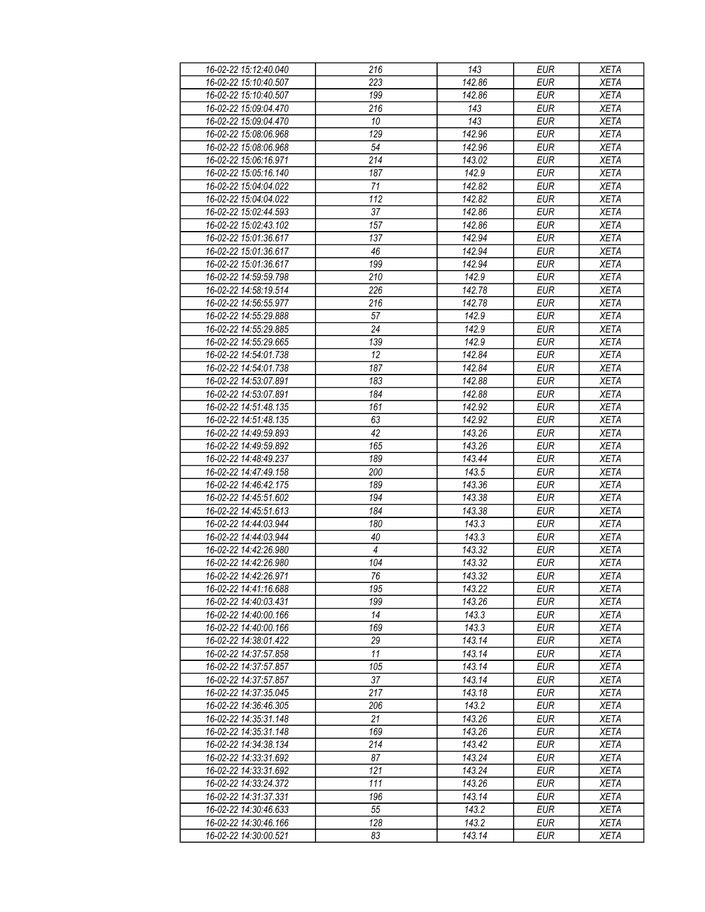| 16-02-22 15:12:40.040 | 216            | 143    | <b>EUR</b> | <b>XETA</b> |
|-----------------------|----------------|--------|------------|-------------|
| 16-02-22 15:10:40.507 | 223            | 142.86 | <b>EUR</b> | <b>XETA</b> |
| 16-02-22 15:10:40.507 | 199            | 142.86 | <b>EUR</b> | <b>XETA</b> |
| 16-02-22 15:09:04.470 | 216            | 143    | <b>EUR</b> | <b>XETA</b> |
| 16-02-22 15:09:04.470 | $10\,$         | 143    | <b>EUR</b> | <b>XETA</b> |
| 16-02-22 15:08:06.968 | 129            | 142.96 | <b>EUR</b> | <b>XETA</b> |
|                       |                |        | <b>EUR</b> |             |
| 16-02-22 15:08:06.968 | 54             | 142.96 |            | <b>XETA</b> |
| 16-02-22 15:06:16.971 | 214            | 143.02 | <b>EUR</b> | <b>XETA</b> |
| 16-02-22 15:05:16.140 | 187            | 142.9  | <b>EUR</b> | <b>XETA</b> |
| 16-02-22 15:04:04.022 | 71             | 142.82 | <b>EUR</b> | <b>XETA</b> |
| 16-02-22 15:04:04.022 | 112            | 142.82 | <b>EUR</b> | <b>XETA</b> |
| 16-02-22 15:02:44.593 | 37             | 142.86 | <b>EUR</b> | <b>XETA</b> |
| 16-02-22 15:02:43.102 | 157            | 142.86 | <b>EUR</b> | <b>XETA</b> |
| 16-02-22 15:01:36.617 | 137            | 142.94 | <b>EUR</b> | <b>XETA</b> |
| 16-02-22 15:01:36.617 | 46             | 142.94 | <b>EUR</b> | <b>XETA</b> |
| 16-02-22 15:01:36.617 | 199            | 142.94 | <b>EUR</b> | <b>XETA</b> |
| 16-02-22 14:59:59.798 | 210            | 142.9  | <b>EUR</b> | <b>XETA</b> |
| 16-02-22 14:58:19.514 | 226            | 142.78 | <b>EUR</b> | <b>XETA</b> |
| 16-02-22 14:56:55.977 | 216            | 142.78 | <b>EUR</b> | <b>XETA</b> |
| 16-02-22 14:55:29.888 | 57             | 142.9  | <b>EUR</b> | <b>XETA</b> |
| 16-02-22 14:55:29.885 | 24             | 142.9  | <b>EUR</b> | <b>XETA</b> |
| 16-02-22 14:55:29.665 | 139            | 142.9  | <b>EUR</b> | <b>XETA</b> |
|                       |                |        |            |             |
| 16-02-22 14:54:01.738 | 12             | 142.84 | <b>EUR</b> | <b>XETA</b> |
| 16-02-22 14:54:01.738 | 187            | 142.84 | <b>EUR</b> | <b>XETA</b> |
| 16-02-22 14:53:07.891 | 183            | 142.88 | <b>EUR</b> | <b>XETA</b> |
| 16-02-22 14:53:07.891 | 184            | 142.88 | <b>EUR</b> | <b>XETA</b> |
| 16-02-22 14:51:48.135 | 161            | 142.92 | <b>EUR</b> | <b>XETA</b> |
| 16-02-22 14:51:48.135 | 63             | 142.92 | <b>EUR</b> | <b>XETA</b> |
| 16-02-22 14:49:59.893 | 42             | 143.26 | <b>EUR</b> | <b>XETA</b> |
| 16-02-22 14:49:59.892 | 165            | 143.26 | <b>EUR</b> | <b>XETA</b> |
| 16-02-22 14:48:49.237 | 189            | 143.44 | <b>EUR</b> | <b>XETA</b> |
| 16-02-22 14:47:49.158 | 200            | 143.5  | <b>EUR</b> | <b>XETA</b> |
| 16-02-22 14:46:42.175 | 189            | 143.36 | <b>EUR</b> | <b>XETA</b> |
| 16-02-22 14:45:51.602 | 194            | 143.38 | <b>EUR</b> | <b>XETA</b> |
| 16-02-22 14:45:51.613 | 184            | 143.38 | <b>EUR</b> | <b>XETA</b> |
| 16-02-22 14:44:03.944 | 180            | 143.3  | <b>EUR</b> | <b>XETA</b> |
| 16-02-22 14:44:03.944 | 40             | 143.3  | <b>EUR</b> | <b>XETA</b> |
| 16-02-22 14:42:26.980 | $\overline{4}$ | 143.32 | <b>EUR</b> | <b>XETA</b> |
| 16-02-22 14:42:26.980 | 104            | 143.32 | <b>EUR</b> | <b>XETA</b> |
| 16-02-22 14:42:26.971 | 76             | 143.32 | <b>EUR</b> | <b>XETA</b> |
| 16-02-22 14:41:16.688 | 195            | 143.22 | EUR        | XETA        |
| 16-02-22 14:40:03.431 | 199            | 143.26 | <b>EUR</b> |             |
|                       |                |        |            | <b>XETA</b> |
| 16-02-22 14:40:00.166 | 14             | 143.3  | <b>EUR</b> | <b>XETA</b> |
| 16-02-22 14:40:00.166 | 169            | 143.3  | <b>EUR</b> | <b>XETA</b> |
| 16-02-22 14:38:01.422 | 29             | 143.14 | <b>EUR</b> | <b>XETA</b> |
| 16-02-22 14:37:57.858 | 11             | 143.14 | <b>EUR</b> | <b>XETA</b> |
| 16-02-22 14:37:57.857 | 105            | 143.14 | <b>EUR</b> | <b>XETA</b> |
| 16-02-22 14:37:57.857 | 37             | 143.14 | <b>EUR</b> | <b>XETA</b> |
| 16-02-22 14:37:35.045 | 217            | 143.18 | <b>EUR</b> | <b>XETA</b> |
| 16-02-22 14:36:46.305 | 206            | 143.2  | <b>EUR</b> | <b>XETA</b> |
| 16-02-22 14:35:31.148 | 21             | 143.26 | <b>EUR</b> | <b>XETA</b> |
| 16-02-22 14:35:31.148 | 169            | 143.26 | <b>EUR</b> | <b>XETA</b> |
| 16-02-22 14:34:38.134 | 214            | 143.42 | <b>EUR</b> | <b>XETA</b> |
| 16-02-22 14:33:31.692 | 87             | 143.24 | EUR        | <b>XETA</b> |
| 16-02-22 14:33:31.692 | 121            | 143.24 | <b>EUR</b> | <b>XETA</b> |
| 16-02-22 14:33:24.372 | 111            | 143.26 | <b>EUR</b> | <b>XETA</b> |
| 16-02-22 14:31:37.331 | 196            | 143.14 | <b>EUR</b> | <b>XETA</b> |
| 16-02-22 14:30:46.633 | 55             | 143.2  | EUR        | XETA        |
| 16-02-22 14:30:46.166 | 128            | 143.2  |            |             |
|                       |                |        | EUR        | XETA        |
| 16-02-22 14:30:00.521 | 83             | 143.14 | EUR        | XETA        |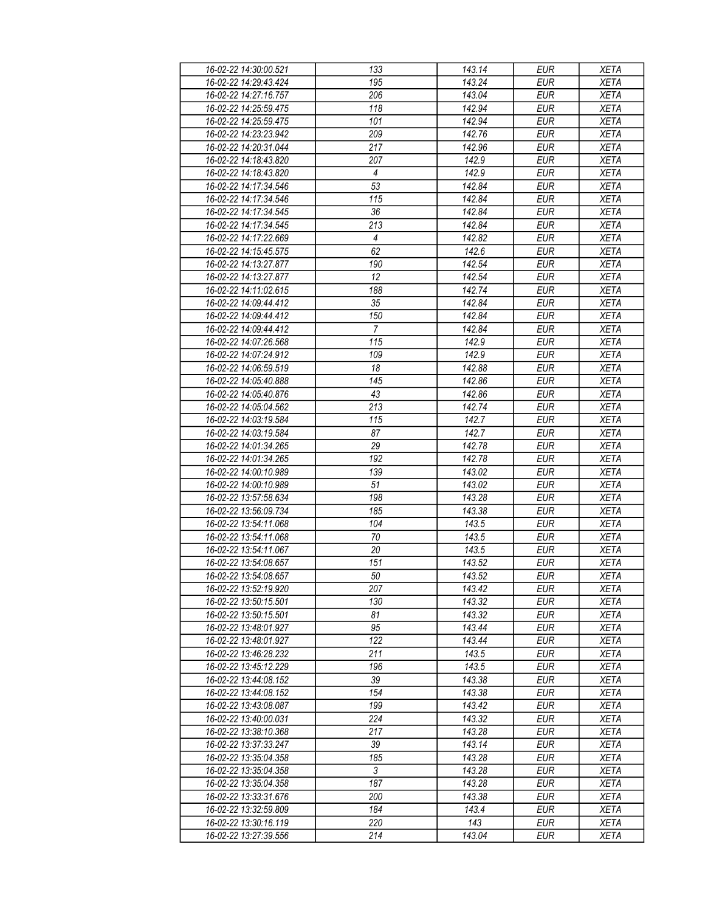| 16-02-22 14:30:00.521 | 133              | 143.14 | EUR        | <b>XETA</b> |
|-----------------------|------------------|--------|------------|-------------|
| 16-02-22 14:29:43.424 | 195              | 143.24 | <b>EUR</b> | <b>XETA</b> |
| 16-02-22 14:27:16.757 | $\overline{206}$ | 143.04 | <b>EUR</b> | <b>XETA</b> |
| 16-02-22 14:25:59.475 | 118              | 142.94 | <b>EUR</b> | <b>XETA</b> |
| 16-02-22 14:25:59.475 | 101              | 142.94 | <b>EUR</b> | <b>XETA</b> |
| 16-02-22 14:23:23.942 | 209              | 142.76 | <b>EUR</b> | <b>XETA</b> |
|                       |                  |        | <b>EUR</b> |             |
| 16-02-22 14:20:31.044 | 217              | 142.96 |            | <b>XETA</b> |
| 16-02-22 14:18:43.820 | 207              | 142.9  | <b>EUR</b> | <b>XETA</b> |
| 16-02-22 14:18:43.820 | 4                | 142.9  | <b>EUR</b> | <b>XETA</b> |
| 16-02-22 14:17:34.546 | 53               | 142.84 | <b>EUR</b> | <b>XETA</b> |
| 16-02-22 14:17:34.546 | 115              | 142.84 | <b>EUR</b> | <b>XETA</b> |
| 16-02-22 14:17:34.545 | 36               | 142.84 | <b>EUR</b> | <b>XETA</b> |
| 16-02-22 14:17:34.545 | 213              | 142.84 | <b>EUR</b> | <b>XETA</b> |
| 16-02-22 14:17:22.669 | $\overline{4}$   | 142.82 | <b>EUR</b> | <b>XETA</b> |
| 16-02-22 14:15:45.575 | 62               | 142.6  | <b>EUR</b> | <b>XETA</b> |
| 16-02-22 14:13:27.877 | 190              | 142.54 | <b>EUR</b> | <b>XETA</b> |
| 16-02-22 14:13:27.877 | 12               | 142.54 | <b>EUR</b> | <b>XETA</b> |
| 16-02-22 14:11:02.615 | 188              | 142.74 | <b>EUR</b> | <b>XETA</b> |
| 16-02-22 14:09:44.412 | 35               | 142.84 | <b>EUR</b> | <b>XETA</b> |
| 16-02-22 14:09:44.412 | 150              | 142.84 | <b>EUR</b> | <b>XETA</b> |
| 16-02-22 14:09:44.412 | $\overline{7}$   | 142.84 | <b>EUR</b> | <b>XETA</b> |
| 16-02-22 14:07:26.568 | 115              | 142.9  | <b>EUR</b> | <b>XETA</b> |
| 16-02-22 14:07:24.912 | 109              | 142.9  | <b>EUR</b> | <b>XETA</b> |
| 16-02-22 14:06:59.519 | 18               | 142.88 | <b>EUR</b> | <b>XETA</b> |
| 16-02-22 14:05:40.888 | 145              | 142.86 | <b>EUR</b> | <b>XETA</b> |
|                       | 43               | 142.86 |            | <b>XETA</b> |
| 16-02-22 14:05:40.876 |                  |        | <b>EUR</b> |             |
| 16-02-22 14:05:04.562 | 213              | 142.74 | <b>EUR</b> | <b>XETA</b> |
| 16-02-22 14:03:19.584 | 115              | 142.7  | <b>EUR</b> | <b>XETA</b> |
| 16-02-22 14:03:19.584 | 87               | 142.7  | <b>EUR</b> | <b>XETA</b> |
| 16-02-22 14:01:34.265 | 29               | 142.78 | <b>EUR</b> | <b>XETA</b> |
| 16-02-22 14:01:34.265 | 192              | 142.78 | <b>EUR</b> | <b>XETA</b> |
| 16-02-22 14:00:10.989 | 139              | 143.02 | <b>EUR</b> | <b>XETA</b> |
| 16-02-22 14:00:10.989 | 51               | 143.02 | <b>EUR</b> | <b>XETA</b> |
| 16-02-22 13:57:58.634 | 198              | 143.28 | <b>EUR</b> | <b>XETA</b> |
| 16-02-22 13:56:09.734 | 185              | 143.38 | <b>EUR</b> | <b>XETA</b> |
| 16-02-22 13:54:11.068 | 104              | 143.5  | <b>EUR</b> | <b>XETA</b> |
| 16-02-22 13:54:11.068 | 70               | 143.5  | <b>EUR</b> | <b>XETA</b> |
| 16-02-22 13:54:11.067 | 20               | 143.5  | <b>EUR</b> | <b>XETA</b> |
| 16-02-22 13:54:08.657 | 151              | 143.52 | <b>EUR</b> | <b>XETA</b> |
| 16-02-22 13:54:08.657 | $50\,$           | 143.52 | <b>EUR</b> | <b>XETA</b> |
| 16-02-22 13:52:19.920 | 207              | 143.42 | EUR        | XETA        |
| 16-02-22 13:50:15.501 | 130              | 143.32 | <b>EUR</b> | <b>XETA</b> |
| 16-02-22 13:50:15.501 | 81               | 143.32 | <b>EUR</b> | <b>XETA</b> |
| 16-02-22 13:48:01.927 | 95               | 143.44 | <b>EUR</b> | <b>XETA</b> |
| 16-02-22 13:48:01.927 | 122              | 143.44 | <b>EUR</b> | <b>XETA</b> |
| 16-02-22 13:46:28.232 | 211              | 143.5  | <b>EUR</b> | <b>XETA</b> |
|                       |                  | 143.5  |            |             |
| 16-02-22 13:45:12.229 | 196              |        | <b>EUR</b> | <b>XETA</b> |
| 16-02-22 13:44:08.152 | 39               | 143.38 | <b>EUR</b> | <b>XETA</b> |
| 16-02-22 13:44:08.152 | 154              | 143.38 | <b>EUR</b> | <b>XETA</b> |
| 16-02-22 13:43:08.087 | 199              | 143.42 | EUR        | <b>XETA</b> |
| 16-02-22 13:40:00.031 | 224              | 143.32 | <b>EUR</b> | <b>XETA</b> |
| 16-02-22 13:38:10.368 | 217              | 143.28 | <b>EUR</b> | <b>XETA</b> |
| 16-02-22 13:37:33.247 | 39               | 143.14 | <b>EUR</b> | <b>XETA</b> |
| 16-02-22 13:35:04.358 | 185              | 143.28 | <b>EUR</b> | <b>XETA</b> |
| 16-02-22 13:35:04.358 | $\mathfrak{Z}$   | 143.28 | <b>EUR</b> | <b>XETA</b> |
| 16-02-22 13:35:04.358 | 187              | 143.28 | <b>EUR</b> | <b>XETA</b> |
| 16-02-22 13:33:31.676 | 200              | 143.38 | <b>EUR</b> | <b>XETA</b> |
| 16-02-22 13:32:59.809 | 184              | 143.4  | EUR        | XETA        |
| 16-02-22 13:30:16.119 | 220              | 143    | EUR        | <b>XETA</b> |
| 16-02-22 13:27:39.556 | 214              | 143.04 | EUR        | <b>XETA</b> |
|                       |                  |        |            |             |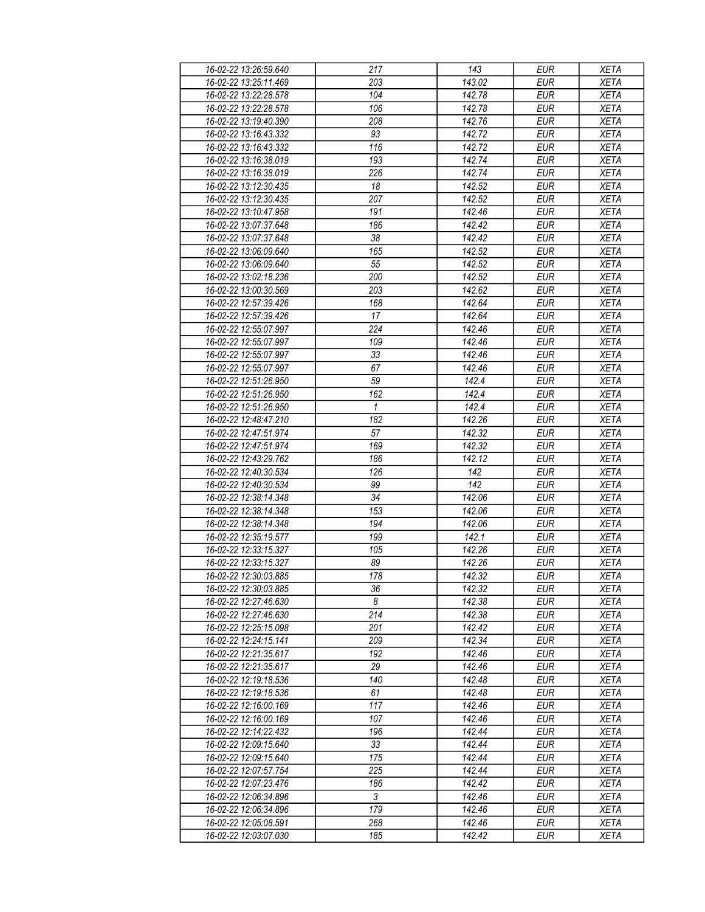| 16-02-22 13:26:59.640 | 217          | 143    | <b>EUR</b> | <b>XETA</b> |
|-----------------------|--------------|--------|------------|-------------|
| 16-02-22 13:25:11.469 | 203          | 143.02 | <b>EUR</b> | <b>XETA</b> |
| 16-02-22 13:22:28.578 | 104          | 142.78 | <b>EUR</b> | <b>XETA</b> |
| 16-02-22 13:22:28.578 | 106          | 142.78 | <b>EUR</b> | <b>XETA</b> |
| 16-02-22 13:19:40.390 | 208          | 142.76 | <b>EUR</b> | <b>XETA</b> |
| 16-02-22 13:16:43.332 | 93           | 142.72 | <b>EUR</b> | <b>XETA</b> |
|                       |              |        |            |             |
| 16-02-22 13:16:43.332 | 116          | 142.72 | <b>EUR</b> | <b>XETA</b> |
| 16-02-22 13:16:38.019 | 193          | 142.74 | <b>EUR</b> | <b>XETA</b> |
| 16-02-22 13:16:38.019 | 226          | 142.74 | <b>EUR</b> | <b>XETA</b> |
| 16-02-22 13:12:30.435 | 18           | 142.52 | <b>EUR</b> | <b>XETA</b> |
| 16-02-22 13:12:30.435 | 207          | 142.52 | <b>EUR</b> | <b>XETA</b> |
| 16-02-22 13:10:47.958 | 191          | 142.46 | <b>EUR</b> | <b>XETA</b> |
| 16-02-22 13:07:37.648 | 186          | 142.42 | <b>EUR</b> | <b>XETA</b> |
| 16-02-22 13:07:37.648 | 38           | 142.42 | <b>EUR</b> | <b>XETA</b> |
| 16-02-22 13:06:09.640 | 165          | 142.52 | <b>EUR</b> | <b>XETA</b> |
| 16-02-22 13:06:09.640 | 55           | 142.52 | <b>EUR</b> | <b>XETA</b> |
| 16-02-22 13:02:18.236 | 200          | 142.52 | <b>EUR</b> | <b>XETA</b> |
| 16-02-22 13:00:30.569 | 203          | 142.62 | <b>EUR</b> | <b>XETA</b> |
| 16-02-22 12:57:39.426 | 168          | 142.64 | <b>EUR</b> | <b>XETA</b> |
| 16-02-22 12:57:39.426 | 17           | 142.64 | <b>EUR</b> | <b>XETA</b> |
| 16-02-22 12:55:07.997 | 224          | 142.46 | <b>EUR</b> | <b>XETA</b> |
| 16-02-22 12:55:07.997 | 109          | 142.46 | <b>EUR</b> | <b>XETA</b> |
|                       |              |        |            | <b>XETA</b> |
| 16-02-22 12:55:07.997 | 33           | 142.46 | <b>EUR</b> |             |
| 16-02-22 12:55:07.997 | 67           | 142.46 | <b>EUR</b> | <b>XETA</b> |
| 16-02-22 12:51:26.950 | 59           | 142.4  | <b>EUR</b> | <b>XETA</b> |
| 16-02-22 12:51:26.950 | 162          | 142.4  | <b>EUR</b> | <b>XETA</b> |
| 16-02-22 12:51:26.950 | $\mathbf{1}$ | 142.4  | <b>EUR</b> | <b>XETA</b> |
| 16-02-22 12:48:47.210 | 182          | 142.26 | <b>EUR</b> | <b>XETA</b> |
| 16-02-22 12:47:51.974 | 57           | 142.32 | <b>EUR</b> | <b>XETA</b> |
| 16-02-22 12:47:51.974 | 169          | 142.32 | <b>EUR</b> | <b>XETA</b> |
| 16-02-22 12:43:29.762 | 186          | 142.12 | <b>EUR</b> | <b>XETA</b> |
| 16-02-22 12:40:30.534 | 126          | 142    | <b>EUR</b> | <b>XETA</b> |
| 16-02-22 12:40:30.534 | 99           | 142    | <b>EUR</b> | <b>XETA</b> |
| 16-02-22 12:38:14.348 | 34           | 142.06 | <b>EUR</b> | <b>XETA</b> |
| 16-02-22 12:38:14.348 | 153          | 142.06 | <b>EUR</b> | <b>XETA</b> |
| 16-02-22 12:38:14.348 | 194          | 142.06 | <b>EUR</b> | <b>XETA</b> |
| 16-02-22 12:35:19.577 | 199          | 142.1  | <b>EUR</b> | <b>XETA</b> |
| 16-02-22 12:33:15.327 | 105          | 142.26 | <b>EUR</b> | <b>XETA</b> |
| 16-02-22 12:33:15.327 | 89           | 142.26 | <b>EUR</b> | <b>XETA</b> |
| 16-02-22 12:30:03.885 | 178          | 142.32 | <b>EUR</b> | <b>XETA</b> |
| 16-02-22 12:30:03.885 | 36           | 142.32 | EUR        | XETA        |
| 16-02-22 12:27:46.630 | 8            | 142.38 | <b>EUR</b> |             |
|                       |              |        |            | <b>XETA</b> |
| 16-02-22 12:27:46.630 | 214          | 142.38 | <b>EUR</b> | <b>XETA</b> |
| 16-02-22 12:25:15.098 | 201          | 142.42 | <b>EUR</b> | <b>XETA</b> |
| 16-02-22 12:24:15.141 | 209          | 142.34 | <b>EUR</b> | <b>XETA</b> |
| 16-02-22 12:21:35.617 | 192          | 142.46 | <b>EUR</b> | <b>XETA</b> |
| 16-02-22 12:21:35.617 | 29           | 142.46 | <b>EUR</b> | <b>XETA</b> |
| 16-02-22 12:19:18.536 | 140          | 142.48 | <b>EUR</b> | <b>XETA</b> |
| 16-02-22 12:19:18.536 | 61           | 142.48 | <b>EUR</b> | <b>XETA</b> |
| 16-02-22 12:16:00.169 | 117          | 142.46 | EUR        | <b>XETA</b> |
| 16-02-22 12:16:00.169 | 107          | 142.46 | <b>EUR</b> | <b>XETA</b> |
| 16-02-22 12:14:22.432 | 196          | 142.44 | <b>EUR</b> | <b>XETA</b> |
| 16-02-22 12:09:15.640 | 33           | 142.44 | <b>EUR</b> | <b>XETA</b> |
| 16-02-22 12:09:15.640 | 175          | 142.44 | EUR        | <b>XETA</b> |
| 16-02-22 12:07:57.754 | 225          | 142.44 | <b>EUR</b> | <b>XETA</b> |
| 16-02-22 12:07:23.476 | 186          | 142.42 | <b>EUR</b> | <b>XETA</b> |
| 16-02-22 12:06:34.896 | 3            | 142.46 | <b>EUR</b> | <b>XETA</b> |
| 16-02-22 12:06:34.896 | 179          | 142.46 | EUR        | XETA        |
|                       |              |        |            |             |
| 16-02-22 12:05:08.591 | 268          | 142.46 | EUR        | <b>XETA</b> |
| 16-02-22 12:03:07.030 | 185          | 142.42 | EUR        | <b>XETA</b> |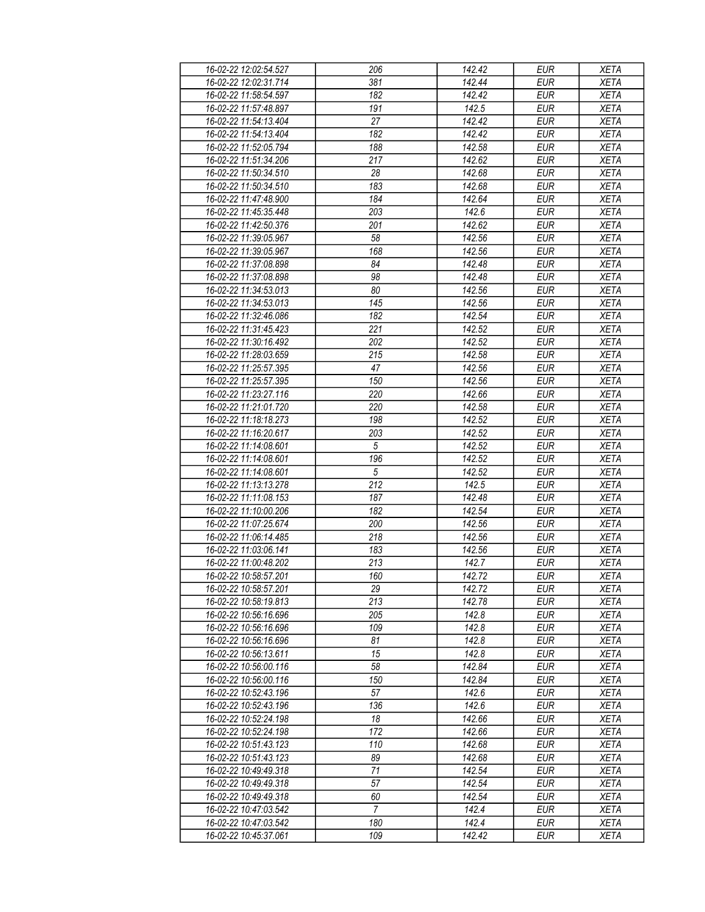| 16-02-22 12:02:54.527 | 206              | 142.42 | EUR        | <b>XETA</b> |
|-----------------------|------------------|--------|------------|-------------|
| 16-02-22 12:02:31.714 | 381              | 142.44 | <b>EUR</b> | <b>XETA</b> |
| 16-02-22 11:58:54.597 | $\overline{182}$ | 142.42 | <b>EUR</b> | <b>XETA</b> |
|                       |                  |        |            |             |
| 16-02-22 11:57:48.897 | 191              | 142.5  | <b>EUR</b> | <b>XETA</b> |
| 16-02-22 11:54:13.404 | 27               | 142.42 | <b>EUR</b> | <b>XETA</b> |
| 16-02-22 11:54:13.404 | 182              | 142.42 | <b>EUR</b> | <b>XETA</b> |
| 16-02-22 11:52:05.794 | 188              | 142.58 | <b>EUR</b> | <b>XETA</b> |
| 16-02-22 11:51:34.206 | 217              | 142.62 | <b>EUR</b> | <b>XETA</b> |
| 16-02-22 11:50:34.510 | 28               | 142.68 | <b>EUR</b> | <b>XETA</b> |
| 16-02-22 11:50:34.510 | 183              | 142.68 | <b>EUR</b> | <b>XETA</b> |
| 16-02-22 11:47:48.900 | 184              | 142.64 | <b>EUR</b> | <b>XETA</b> |
| 16-02-22 11:45:35.448 | 203              | 142.6  | <b>EUR</b> | <b>XETA</b> |
|                       |                  |        |            |             |
| 16-02-22 11:42:50.376 | 201              | 142.62 | <b>EUR</b> | <b>XETA</b> |
| 16-02-22 11:39:05.967 | 58               | 142.56 | <b>EUR</b> | <b>XETA</b> |
| 16-02-22 11:39:05.967 | 168              | 142.56 | <b>EUR</b> | <b>XETA</b> |
| 16-02-22 11:37:08.898 | 84               | 142.48 | <b>EUR</b> | <b>XETA</b> |
| 16-02-22 11:37:08.898 | 98               | 142.48 | <b>EUR</b> | <b>XETA</b> |
| 16-02-22 11:34:53.013 | 80               | 142.56 | <b>EUR</b> | <b>XETA</b> |
| 16-02-22 11:34:53.013 | 145              | 142.56 | <b>EUR</b> | <b>XETA</b> |
| 16-02-22 11:32:46.086 | 182              | 142.54 | <b>EUR</b> | <b>XETA</b> |
| 16-02-22 11:31:45.423 | 221              | 142.52 | <b>EUR</b> | <b>XETA</b> |
| 16-02-22 11:30:16.492 | 202              | 142.52 | <b>EUR</b> | <b>XETA</b> |
| 16-02-22 11:28:03.659 | 215              | 142.58 | <b>EUR</b> | <b>XETA</b> |
|                       |                  |        |            |             |
| 16-02-22 11:25:57.395 | 47               | 142.56 | <b>EUR</b> | <b>XETA</b> |
| 16-02-22 11:25:57.395 | 150              | 142.56 | <b>EUR</b> | <b>XETA</b> |
| 16-02-22 11:23:27.116 | 220              | 142.66 | <b>EUR</b> | <b>XETA</b> |
| 16-02-22 11:21:01.720 | 220              | 142.58 | <b>EUR</b> | <b>XETA</b> |
| 16-02-22 11:18:18.273 | 198              | 142.52 | <b>EUR</b> | <b>XETA</b> |
| 16-02-22 11:16:20.617 | 203              | 142.52 | <b>EUR</b> | <b>XETA</b> |
| 16-02-22 11:14:08.601 | $\sqrt{5}$       | 142.52 | <b>EUR</b> | <b>XETA</b> |
| 16-02-22 11:14:08.601 | 196              | 142.52 | <b>EUR</b> | <b>XETA</b> |
| 16-02-22 11:14:08.601 | 5                | 142.52 | <b>EUR</b> | <b>XETA</b> |
| 16-02-22 11:13:13.278 | 212              | 142.5  | <b>EUR</b> | <b>XETA</b> |
| 16-02-22 11:11:08.153 | 187              | 142.48 | <b>EUR</b> | <b>XETA</b> |
|                       |                  |        |            |             |
| 16-02-22 11:10:00.206 | 182              | 142.54 | <b>EUR</b> | <b>XETA</b> |
| 16-02-22 11:07:25.674 | 200              | 142.56 | <b>EUR</b> | <b>XETA</b> |
| 16-02-22 11:06:14.485 | 218              | 142.56 | <b>EUR</b> | <b>XETA</b> |
| 16-02-22 11:03:06.141 | 183              | 142.56 | <b>EUR</b> | <b>XETA</b> |
| 16-02-22 11:00:48.202 | 213              | 142.7  | <b>EUR</b> | <b>XETA</b> |
| 16-02-22 10:58:57 201 | 160              | 142.72 | <b>EUR</b> | <b>XETA</b> |
| 16-02-22 10:58:57.201 | 29               | 142.72 | EUR        | XETA        |
| 16-02-22 10:58:19.813 | 213              | 142.78 | <b>EUR</b> | <b>XETA</b> |
| 16-02-22 10:56:16.696 | 205              | 142.8  | <b>EUR</b> | <b>XETA</b> |
| 16-02-22 10:56:16.696 | 109              | 142.8  | <b>EUR</b> | <b>XETA</b> |
| 16-02-22 10:56:16.696 | 81               | 142.8  | <b>EUR</b> | <b>XETA</b> |
| 16-02-22 10:56:13.611 | 15               | 142.8  | <b>EUR</b> | <b>XETA</b> |
|                       |                  |        |            |             |
| 16-02-22 10:56:00.116 | 58               | 142.84 | <b>EUR</b> | <b>XETA</b> |
| 16-02-22 10:56:00.116 | 150              | 142.84 | <b>EUR</b> | <b>XETA</b> |
| 16-02-22 10:52:43.196 | 57               | 142.6  | <b>EUR</b> | <b>XETA</b> |
| 16-02-22 10:52:43.196 | 136              | 142.6  | EUR        | <b>XETA</b> |
| 16-02-22 10:52:24.198 | 18               | 142.66 | <b>EUR</b> | <b>XETA</b> |
| 16-02-22 10:52:24.198 | 172              | 142.66 | <b>EUR</b> | <b>XETA</b> |
| 16-02-22 10:51:43.123 | 110              | 142.68 | <b>EUR</b> | <b>XETA</b> |
| 16-02-22 10:51:43.123 | 89               | 142.68 | EUR        | <b>XETA</b> |
| 16-02-22 10:49:49.318 | 71               | 142.54 | <b>EUR</b> | <b>XETA</b> |
| 16-02-22 10:49:49.318 | 57               | 142.54 | <b>EUR</b> | <b>XETA</b> |
| 16-02-22 10:49:49.318 | 60               | 142.54 | <b>EUR</b> | <b>XETA</b> |
|                       |                  |        |            |             |
| 16-02-22 10:47:03.542 | 7                | 142.4  | EUR        | XETA        |
| 16-02-22 10:47:03.542 | 180              | 142.4  | <b>EUR</b> | <b>XETA</b> |
| 16-02-22 10:45:37.061 | 109              | 142.42 | <b>EUR</b> | <b>XETA</b> |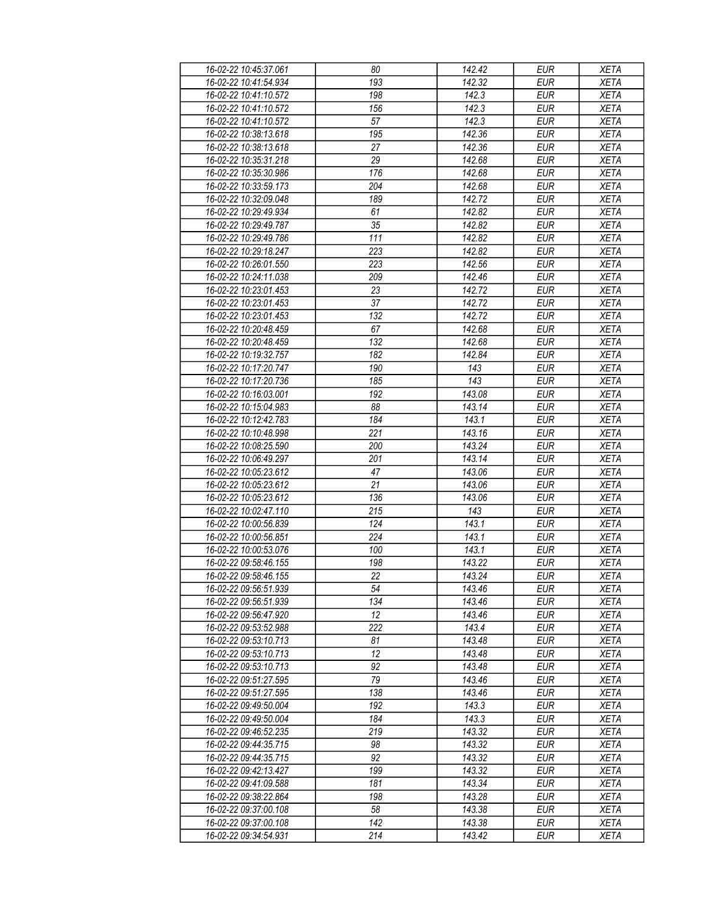| 16-02-22 10:45:37.061 | 80               | 142.42 | <b>EUR</b> | <b>XETA</b> |
|-----------------------|------------------|--------|------------|-------------|
| 16-02-22 10:41:54.934 | 193              | 142.32 | <b>EUR</b> | <b>XETA</b> |
| 16-02-22 10:41:10.572 | 198              | 142.3  | <b>EUR</b> | <b>XETA</b> |
| 16-02-22 10:41:10.572 | 156              | 142.3  | <b>EUR</b> | <b>XETA</b> |
| 16-02-22 10:41:10.572 | 57               | 142.3  | <b>EUR</b> | <b>XETA</b> |
| 16-02-22 10:38:13.618 | 195              | 142.36 | <b>EUR</b> | <b>XETA</b> |
|                       | 27               | 142.36 | <b>EUR</b> |             |
| 16-02-22 10:38:13.618 |                  |        |            | <b>XETA</b> |
| 16-02-22 10:35:31.218 | 29               | 142.68 | <b>EUR</b> | <b>XETA</b> |
| 16-02-22 10:35:30.986 | 176              | 142.68 | <b>EUR</b> | <b>XETA</b> |
| 16-02-22 10:33:59.173 | 204              | 142.68 | <b>EUR</b> | <b>XETA</b> |
| 16-02-22 10:32:09.048 | 189              | 142.72 | <b>EUR</b> | <b>XETA</b> |
| 16-02-22 10:29:49.934 | 61               | 142.82 | <b>EUR</b> | <b>XETA</b> |
| 16-02-22 10:29:49.787 | 35               | 142.82 | <b>EUR</b> | <b>XETA</b> |
| 16-02-22 10:29:49.786 | 111              | 142.82 | <b>EUR</b> | <b>XETA</b> |
| 16-02-22 10:29:18.247 | 223              | 142.82 | <b>EUR</b> | <b>XETA</b> |
| 16-02-22 10:26:01.550 | 223              | 142.56 | <b>EUR</b> | <b>XETA</b> |
| 16-02-22 10:24:11.038 | 209              | 142.46 | <b>EUR</b> | <b>XETA</b> |
| 16-02-22 10:23:01.453 | 23               | 142.72 | <b>EUR</b> | <b>XETA</b> |
| 16-02-22 10:23:01.453 | $\overline{37}$  | 142.72 | <b>EUR</b> | <b>XETA</b> |
| 16-02-22 10:23:01.453 | $\overline{132}$ | 142.72 | <b>EUR</b> | <b>XETA</b> |
| 16-02-22 10:20:48.459 | 67               | 142.68 | <b>EUR</b> | <b>XETA</b> |
| 16-02-22 10:20:48.459 | 132              | 142.68 | <b>EUR</b> | <b>XETA</b> |
| 16-02-22 10:19:32.757 |                  |        |            | <b>XETA</b> |
|                       | 182              | 142.84 | <b>EUR</b> |             |
| 16-02-22 10:17:20.747 | 190              | 143    | <b>EUR</b> | <b>XETA</b> |
| 16-02-22 10:17:20.736 | 185              | 143    | <b>EUR</b> | <b>XETA</b> |
| 16-02-22 10:16:03.001 | 192              | 143.08 | <b>EUR</b> | <b>XETA</b> |
| 16-02-22 10:15:04.983 | 88               | 143.14 | <b>EUR</b> | <b>XETA</b> |
| 16-02-22 10:12:42.783 | 184              | 143.1  | <b>EUR</b> | <b>XETA</b> |
| 16-02-22 10:10:48.998 | 221              | 143.16 | <b>EUR</b> | <b>XETA</b> |
| 16-02-22 10:08:25.590 | 200              | 143.24 | <b>EUR</b> | <b>XETA</b> |
| 16-02-22 10:06:49.297 | 201              | 143.14 | <b>EUR</b> | <b>XETA</b> |
| 16-02-22 10:05:23.612 | 47               | 143.06 | <b>EUR</b> | <b>XETA</b> |
| 16-02-22 10:05:23.612 | 21               | 143.06 | <b>EUR</b> | <b>XETA</b> |
| 16-02-22 10:05:23.612 | 136              | 143.06 | <b>EUR</b> | <b>XETA</b> |
| 16-02-22 10:02:47.110 | 215              | 143    | <b>EUR</b> | <b>XETA</b> |
| 16-02-22 10:00:56.839 | 124              | 143.1  | <b>EUR</b> | <b>XETA</b> |
| 16-02-22 10:00:56.851 | 224              | 143.1  | <b>EUR</b> | <b>XETA</b> |
| 16-02-22 10:00:53.076 | 100              | 143.1  | <b>EUR</b> | <b>XETA</b> |
| 16-02-22 09:58:46.155 | 198              | 143.22 | <b>EUR</b> | <b>XETA</b> |
| 16-02-22 09:58:46.155 | 22               | 143.24 | <b>EUR</b> | <b>XETA</b> |
| 16-02-22 09:56:51.939 | 54               | 143.46 | EUR        | XETA        |
| 16-02-22 09:56:51.939 | 134              | 143.46 | <b>EUR</b> |             |
|                       |                  |        |            | <b>XETA</b> |
| 16-02-22 09:56:47.920 | 12               | 143.46 | <b>EUR</b> | <b>XETA</b> |
| 16-02-22 09:53:52.988 | 222              | 143.4  | <b>EUR</b> | <b>XETA</b> |
| 16-02-22 09:53:10.713 | 81               | 143.48 | <b>EUR</b> | <b>XETA</b> |
| 16-02-22 09:53:10.713 | 12               | 143.48 | <b>EUR</b> | <b>XETA</b> |
| 16-02-22 09:53:10.713 | 92               | 143.48 | <b>EUR</b> | <b>XETA</b> |
| 16-02-22 09:51:27.595 | 79               | 143.46 | <b>EUR</b> | <b>XETA</b> |
| 16-02-22 09:51:27.595 | 138              | 143.46 | <b>EUR</b> | <b>XETA</b> |
| 16-02-22 09:49:50.004 | 192              | 143.3  | <b>EUR</b> | <b>XETA</b> |
| 16-02-22 09:49:50.004 | 184              | 143.3  | <b>EUR</b> | <b>XETA</b> |
| 16-02-22 09:46:52.235 | 219              | 143.32 | <b>EUR</b> | <b>XETA</b> |
| 16-02-22 09:44:35.715 | 98               | 143.32 | <b>EUR</b> | <b>XETA</b> |
| 16-02-22 09:44:35.715 | 92               | 143.32 | EUR        | <b>XETA</b> |
| 16-02-22 09:42:13.427 | 199              | 143.32 | <b>EUR</b> | <b>XETA</b> |
| 16-02-22 09:41:09.588 | 181              | 143.34 | <b>EUR</b> | <b>XETA</b> |
| 16-02-22 09:38:22.864 | 198              | 143.28 | <b>EUR</b> | <b>XETA</b> |
| 16-02-22 09:37:00.108 | 58               | 143.38 | EUR        | XETA        |
|                       |                  |        |            |             |
| 16-02-22 09:37:00.108 | 142              | 143.38 | EUR        | <b>XETA</b> |
| 16-02-22 09:34:54.931 | 214              | 143.42 | EUR        | XETA        |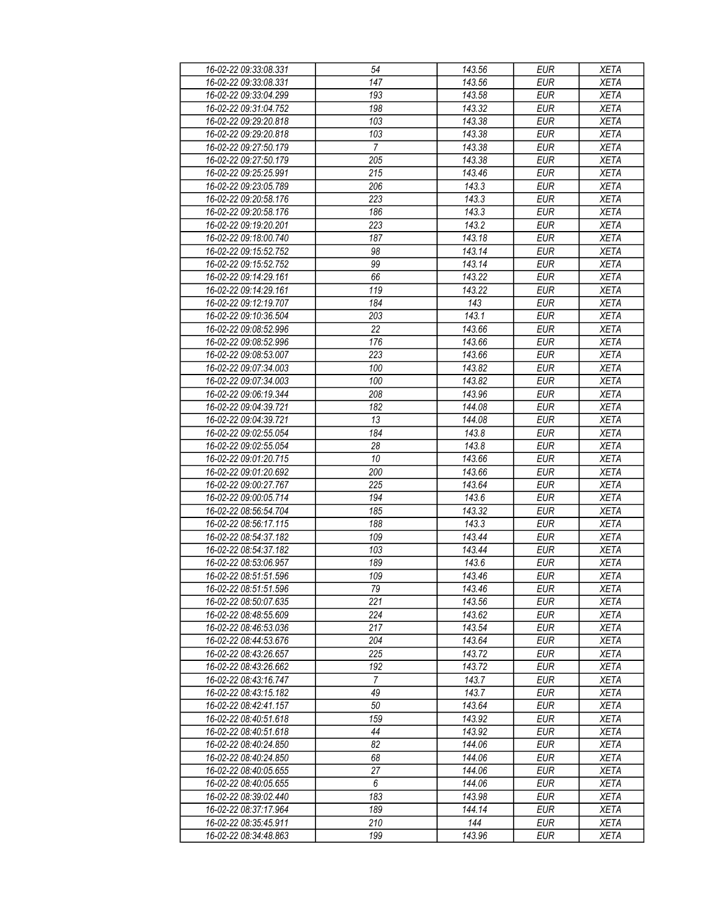| 16-02-22 09:33:08.331 | 54               | 143.56 | <b>EUR</b> | <b>XETA</b> |
|-----------------------|------------------|--------|------------|-------------|
| 16-02-22 09:33:08.331 | 147              | 143.56 | <b>EUR</b> | <b>XETA</b> |
| 16-02-22 09:33:04.299 | $\overline{193}$ | 143.58 | <b>EUR</b> | <b>XETA</b> |
| 16-02-22 09:31:04.752 | 198              | 143.32 | <b>EUR</b> | <b>XETA</b> |
| 16-02-22 09:29:20.818 | 103              | 143.38 | <b>EUR</b> | <b>XETA</b> |
| 16-02-22 09:29:20.818 | 103              | 143.38 | <b>EUR</b> | <b>XETA</b> |
|                       | $\overline{7}$   | 143.38 | <b>EUR</b> |             |
| 16-02-22 09:27:50.179 |                  |        |            | <b>XETA</b> |
| 16-02-22 09:27:50.179 | 205              | 143.38 | <b>EUR</b> | XETA        |
| 16-02-22 09:25:25.991 | 215              | 143.46 | <b>EUR</b> | <b>XETA</b> |
| 16-02-22 09:23:05.789 | 206              | 143.3  | <b>EUR</b> | <b>XETA</b> |
| 16-02-22 09:20:58.176 | 223              | 143.3  | <b>EUR</b> | <b>XETA</b> |
| 16-02-22 09:20:58.176 | 186              | 143.3  | <b>EUR</b> | <b>XETA</b> |
| 16-02-22 09:19:20.201 | 223              | 143.2  | <b>EUR</b> | <b>XETA</b> |
| 16-02-22 09:18:00.740 | 187              | 143.18 | <b>EUR</b> | <b>XETA</b> |
| 16-02-22 09:15:52.752 | 98               | 143.14 | <b>EUR</b> | <b>XETA</b> |
| 16-02-22 09:15:52.752 | 99               | 143.14 | <b>EUR</b> | <b>XETA</b> |
| 16-02-22 09:14:29.161 | 66               | 143.22 | <b>EUR</b> | <b>XETA</b> |
| 16-02-22 09:14:29.161 | 119              | 143.22 | <b>EUR</b> | <b>XETA</b> |
| 16-02-22 09:12:19.707 | 184              | 143    | <b>EUR</b> | <b>XETA</b> |
| 16-02-22 09:10:36.504 | 203              | 143.1  | <b>EUR</b> | <b>XETA</b> |
| 16-02-22 09:08:52.996 | 22               | 143.66 | <b>EUR</b> | <b>XETA</b> |
| 16-02-22 09:08:52.996 | 176              | 143.66 | <b>EUR</b> | <b>XETA</b> |
|                       |                  |        |            |             |
| 16-02-22 09:08:53.007 | 223              | 143.66 | <b>EUR</b> | <b>XETA</b> |
| 16-02-22 09:07:34.003 | 100              | 143.82 | <b>EUR</b> | <b>XETA</b> |
| 16-02-22 09:07:34.003 | 100              | 143.82 | <b>EUR</b> | <b>XETA</b> |
| 16-02-22 09:06:19.344 | 208              | 143.96 | <b>EUR</b> | <b>XETA</b> |
| 16-02-22 09:04:39.721 | 182              | 144.08 | <b>EUR</b> | <b>XETA</b> |
| 16-02-22 09:04:39.721 | 13               | 144.08 | <b>EUR</b> | <b>XETA</b> |
| 16-02-22 09:02:55.054 | 184              | 143.8  | <b>EUR</b> | <b>XETA</b> |
| 16-02-22 09:02:55.054 | 28               | 143.8  | <b>EUR</b> | <b>XETA</b> |
| 16-02-22 09:01:20.715 | 10               | 143.66 | <b>EUR</b> | <b>XETA</b> |
| 16-02-22 09:01:20.692 | 200              | 143.66 | <b>EUR</b> | <b>XETA</b> |
| 16-02-22 09:00:27.767 | 225              | 143.64 | <b>EUR</b> | <b>XETA</b> |
| 16-02-22 09:00:05.714 | 194              | 143.6  | <b>EUR</b> | <b>XETA</b> |
| 16-02-22 08:56:54.704 | 185              | 143.32 | <b>EUR</b> | <b>XETA</b> |
| 16-02-22 08:56:17.115 | 188              | 143.3  | <b>EUR</b> | <b>XETA</b> |
| 16-02-22 08:54:37.182 | 109              | 143.44 | <b>EUR</b> | XETA        |
| 16-02-22 08:54:37.182 | 103              | 143.44 | <b>EUR</b> | <b>XETA</b> |
| 16-02-22 08:53:06.957 | 189              | 143.6  | <b>EUR</b> | <b>XETA</b> |
| 16-02-22 08:51:51.596 | 109              | 143.46 | <b>EUR</b> | <b>XETA</b> |
|                       | 79               | 143.46 | EUR        |             |
| 16-02-22 08:51:51.596 |                  |        |            | XETA        |
| 16-02-22 08:50:07.635 | 221              | 143.56 | <b>EUR</b> | <b>XETA</b> |
| 16-02-22 08:48:55.609 | 224              | 143.62 | <b>EUR</b> | <b>XETA</b> |
| 16-02-22 08:46:53.036 | 217              | 143.54 | <b>EUR</b> | XETA        |
| 16-02-22 08:44:53.676 | 204              | 143.64 | <b>EUR</b> | XETA        |
| 16-02-22 08:43:26.657 | 225              | 143.72 | <b>EUR</b> | <b>XETA</b> |
| 16-02-22 08:43:26.662 | 192              | 143.72 | <b>EUR</b> | <b>XETA</b> |
| 16-02-22 08:43:16.747 | $\overline{7}$   | 143.7  | <b>EUR</b> | <b>XETA</b> |
| 16-02-22 08:43:15.182 | 49               | 143.7  | <b>EUR</b> | <b>XETA</b> |
| 16-02-22 08:42:41.157 | 50               | 143.64 | EUR        | XETA        |
| 16-02-22 08:40:51.618 | 159              | 143.92 | <b>EUR</b> | <b>XETA</b> |
| 16-02-22 08:40:51.618 | 44               | 143.92 | <b>EUR</b> | <b>XETA</b> |
| 16-02-22 08:40:24.850 | 82               | 144.06 | <b>EUR</b> | <b>XETA</b> |
| 16-02-22 08:40:24.850 | 68               | 144.06 | EUR        | <b>XETA</b> |
| 16-02-22 08:40:05.655 | 27               | 144.06 | <b>EUR</b> | <b>XETA</b> |
| 16-02-22 08:40:05.655 | 6                | 144.06 | <b>EUR</b> | <b>XETA</b> |
| 16-02-22 08:39:02.440 | 183              | 143.98 | <b>EUR</b> | <b>XETA</b> |
|                       | 189              | 144.14 | EUR        |             |
| 16-02-22 08:37:17.964 |                  |        |            | XETA        |
| 16-02-22 08:35:45.911 | 210              | 144    | EUR        | XETA        |
| 16-02-22 08:34:48.863 | 199              | 143.96 | <b>EUR</b> | XETA        |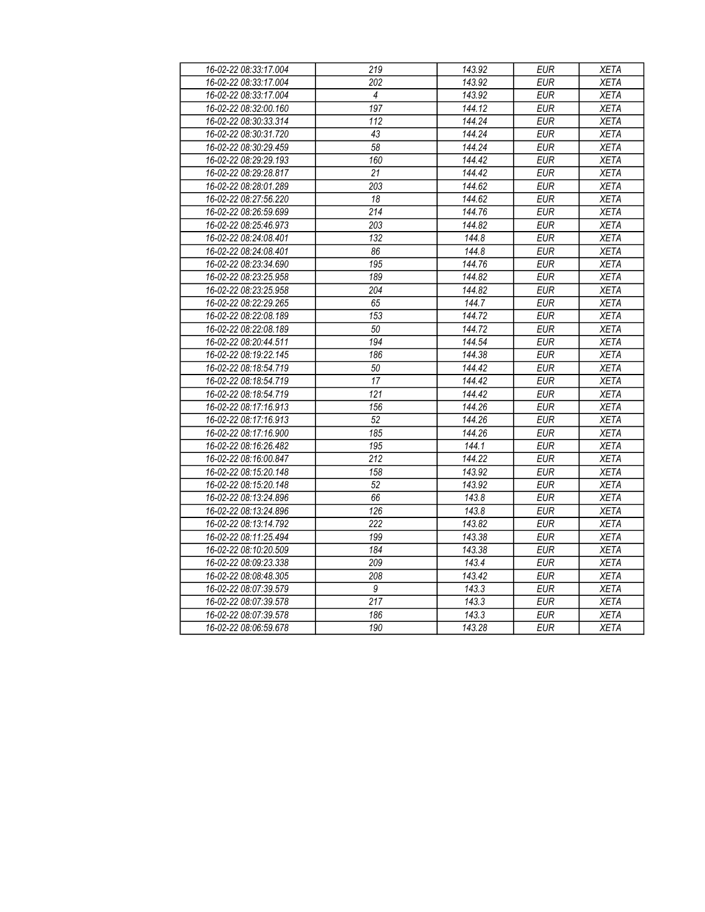| 16-02-22 08:33:17.004 | 219              | 143.92               | <b>EUR</b> | <b>XETA</b> |
|-----------------------|------------------|----------------------|------------|-------------|
| 16-02-22 08:33:17.004 | 202              | 143.92               | <b>EUR</b> | <b>XETA</b> |
| 16-02-22 08:33:17.004 | $\overline{4}$   | 143.92               | EUR        | <b>XETA</b> |
| 16-02-22 08:32:00.160 | 197              | $\overline{144}$ .12 | <b>EUR</b> | <b>XETA</b> |
| 16-02-22 08:30:33.314 | $\overline{112}$ | 144.24               | EUR        | <b>XETA</b> |
| 16-02-22 08:30:31.720 | 43               | 144.24               | <b>EUR</b> | <b>XETA</b> |
| 16-02-22 08:30:29.459 | $\overline{58}$  | 144.24               | <b>EUR</b> | <b>XETA</b> |
| 16-02-22 08:29:29.193 | 160              | 144.42               | <b>EUR</b> | <b>XETA</b> |
| 16-02-22 08:29:28.817 | 21               | 144.42               | <b>EUR</b> | <b>XETA</b> |
| 16-02-22 08:28:01.289 | 203              | 144.62               | <b>EUR</b> | <b>XETA</b> |
| 16-02-22 08:27:56.220 | 18               | 144.62               | <b>EUR</b> | <b>XETA</b> |
| 16-02-22 08:26:59.699 | 214              | 144.76               | <b>EUR</b> | <b>XETA</b> |
| 16-02-22 08:25:46.973 | 203              | 144.82               | <b>EUR</b> | <b>XETA</b> |
| 16-02-22 08:24:08.401 | 132              | 144.8                | <b>EUR</b> | <b>XETA</b> |
| 16-02-22 08:24:08.401 | 86               | 144.8                | <b>EUR</b> | <b>XETA</b> |
| 16-02-22 08:23:34.690 | 195              | 144.76               | <b>EUR</b> | <b>XETA</b> |
| 16-02-22 08:23:25.958 | 189              | 144.82               | <b>EUR</b> | <b>XETA</b> |
| 16-02-22 08:23:25.958 | $\overline{204}$ | 144.82               | <b>EUR</b> | <b>XETA</b> |
| 16-02-22 08:22:29.265 | 65               | 144.7                | <b>EUR</b> | <b>XETA</b> |
| 16-02-22 08:22:08.189 | 153              | 144.72               | <b>EUR</b> | <b>XETA</b> |
| 16-02-22 08:22:08.189 | 50               | 144.72               | <b>EUR</b> | <b>XETA</b> |
| 16-02-22 08:20:44.511 | 194              | 144.54               | <b>EUR</b> | <b>XETA</b> |
| 16-02-22 08:19:22.145 | 186              | 144.38               | <b>EUR</b> | <b>XETA</b> |
| 16-02-22 08:18:54.719 | 50               | 144.42               | <b>EUR</b> | <b>XETA</b> |
| 16-02-22 08:18:54.719 | $\overline{17}$  | 144.42               | <b>EUR</b> | <b>XETA</b> |
| 16-02-22 08:18:54.719 | $\overline{121}$ | $\overline{144.42}$  | EUR        | <b>XETA</b> |
| 16-02-22 08:17:16.913 | 156              | 144.26               | <b>EUR</b> | <b>XETA</b> |
| 16-02-22 08:17:16.913 | $\overline{52}$  | 144.26               | EUR        | <b>XETA</b> |
| 16-02-22 08:17:16.900 | 185              | 144.26               | <b>EUR</b> | <b>XETA</b> |
| 16-02-22 08:16:26.482 | 195              | 144.1                | <b>EUR</b> | <b>XETA</b> |
| 16-02-22 08:16:00.847 | $\overline{212}$ | 144.22               | <b>EUR</b> | <b>XETA</b> |
| 16-02-22 08:15:20.148 | 158              | 143.92               | <b>EUR</b> | <b>XETA</b> |
| 16-02-22 08:15:20.148 | 52               | 143.92               | <b>EUR</b> | <b>XETA</b> |
| 16-02-22 08:13:24.896 | 66               | 143.8                | <b>EUR</b> | <b>XETA</b> |
| 16-02-22 08:13:24.896 | 126              | 143.8                | <b>EUR</b> | <b>XETA</b> |
| 16-02-22 08:13:14.792 | 222              | 143.82               | <b>EUR</b> | <b>XETA</b> |
| 16-02-22 08:11:25.494 | 199              | 143.38               | <b>EUR</b> | <b>XETA</b> |
| 16-02-22 08:10:20.509 | 184              | 143.38               | <b>EUR</b> | <b>XETA</b> |
| 16-02-22 08:09:23.338 | 209              | 143.4                | EUR        | <b>XETA</b> |
| 16-02-22 08:08:48.305 | 208              | 143.42               | <b>EUR</b> | <b>XETA</b> |
| 16-02-22 08:07:39.579 | $\overline{g}$   | 143.3                | <b>EUR</b> | <b>XETA</b> |
| 16-02-22 08:07:39.578 | $\overline{217}$ | 143.3                | EUR        | <b>XETA</b> |
| 16-02-22 08:07:39.578 | 186              | 143.3                | <b>EUR</b> | <b>XETA</b> |
| 16-02-22 08:06:59.678 | 190              | 143.28               | <b>EUR</b> | <b>XETA</b> |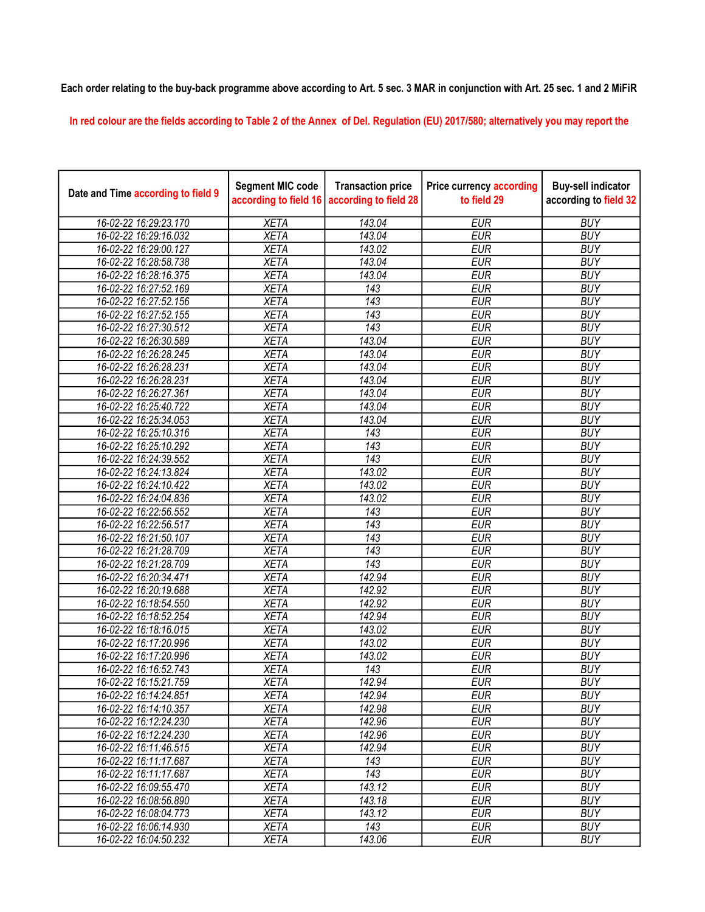## Each order relating to the buy-back programme above according to Art. 5 sec. 3 MAR in conjunction with Art. 25 sec. 1 and 2 MiFiR

In red colour are the fields according to Table 2 of the Annex of Del. Regulation (EU) 2017/580; alternatively you may report the

| Date and Time according to field 9 | <b>Segment MIC code</b><br>according to field 16 | <b>Transaction price</b><br>according to field 28 | <b>Price currency according</b><br>to field 29 | <b>Buy-sell indicator</b><br>according to field 32 |
|------------------------------------|--------------------------------------------------|---------------------------------------------------|------------------------------------------------|----------------------------------------------------|
| 16-02-22 16:29:23.170              | <b>XETA</b>                                      | 143.04                                            | <b>EUR</b>                                     | <b>BUY</b>                                         |
| 16-02-22 16:29:16.032              | <b>XETA</b>                                      | 143.04                                            | <b>EUR</b>                                     | <b>BUY</b>                                         |
| 16-02-22 16:29:00.127              | <b>XETA</b>                                      | 143.02                                            | <b>EUR</b>                                     | <b>BUY</b>                                         |
| 16-02-22 16:28:58.738              | <b>XETA</b>                                      | 143.04                                            | <b>EUR</b>                                     | <b>BUY</b>                                         |
| 16-02-22 16:28:16.375              | <b>XETA</b>                                      | 143.04                                            | <b>EUR</b>                                     | <b>BUY</b>                                         |
| 16-02-22 16:27:52.169              | <b>XETA</b>                                      | 143                                               | <b>EUR</b>                                     | <b>BUY</b>                                         |
| 16-02-22 16:27:52.156              | <b>XETA</b>                                      | 143                                               | <b>EUR</b>                                     | <b>BUY</b>                                         |
| 16-02-22 16:27:52.155              | <b>XETA</b>                                      | $\overline{143}$                                  | <b>EUR</b>                                     | <b>BUY</b>                                         |
| 16-02-22 16:27:30.512              | <b>XETA</b>                                      | 143                                               | <b>EUR</b>                                     | <b>BUY</b>                                         |
| 16-02-22 16:26:30.589              | <b>XETA</b>                                      | 143.04                                            | <b>EUR</b>                                     | <b>BUY</b>                                         |
| 16-02-22 16:26:28.245              | <b>XETA</b>                                      | 143.04                                            | <b>EUR</b>                                     | <b>BUY</b>                                         |
| 16-02-22 16:26:28.231              | <b>XETA</b>                                      | 143.04                                            | <b>EUR</b>                                     | <b>BUY</b>                                         |
| 16-02-22 16:26:28.231              | <b>XETA</b>                                      | 143.04                                            | <b>EUR</b>                                     | <b>BUY</b>                                         |
| 16-02-22 16:26:27.361              | <b>XETA</b>                                      | 143.04                                            | <b>EUR</b>                                     | <b>BUY</b>                                         |
| 16-02-22 16:25:40.722              | <b>XETA</b>                                      | 143.04                                            | <b>EUR</b>                                     | <b>BUY</b>                                         |
| 16-02-22 16:25:34.053              | <b>XETA</b>                                      | 143.04                                            | <b>EUR</b>                                     | <b>BUY</b>                                         |
| 16-02-22 16:25:10.316              | <b>XETA</b>                                      | 143                                               | <b>EUR</b>                                     | <b>BUY</b>                                         |
| 16-02-22 16:25:10.292              | <b>XETA</b>                                      | $\overline{143}$                                  | <b>EUR</b>                                     | <b>BUY</b>                                         |
| 16-02-22 16:24:39.552              | <b>XETA</b>                                      | 143                                               | <b>EUR</b>                                     | <b>BUY</b>                                         |
| 16-02-22 16:24:13.824              | <b>XETA</b>                                      | 143.02                                            | <b>EUR</b>                                     | <b>BUY</b>                                         |
| 16-02-22 16:24:10.422              | <b>XETA</b>                                      | 143.02                                            | <b>EUR</b>                                     | <b>BUY</b>                                         |
| 16-02-22 16:24:04.836              | <b>XETA</b>                                      | 143.02                                            | <b>EUR</b>                                     | <b>BUY</b>                                         |
| 16-02-22 16:22:56.552              | <b>XETA</b>                                      | $\overline{143}$                                  | <b>EUR</b>                                     | <b>BUY</b>                                         |
| 16-02-22 16:22:56.517              | <b>XETA</b>                                      | 143                                               | <b>EUR</b>                                     | <b>BUY</b>                                         |
| 16-02-22 16:21:50.107              | <b>XETA</b>                                      | 143                                               | <b>EUR</b>                                     | <b>BUY</b>                                         |
| 16-02-22 16:21:28.709              | <b>XETA</b>                                      | 143                                               | <b>EUR</b>                                     | <b>BUY</b>                                         |
| 16-02-22 16:21:28.709              | <b>XETA</b>                                      | 143                                               | <b>EUR</b>                                     | <b>BUY</b>                                         |
| 16-02-22 16:20:34.471              | <b>XETA</b>                                      | 142.94                                            | <b>EUR</b>                                     | <b>BUY</b>                                         |
| 16-02-22 16:20:19.688              | <b>XETA</b>                                      | 142.92                                            | <b>EUR</b>                                     | <b>BUY</b>                                         |
| 16-02-22 16:18:54.550              | <b>XETA</b>                                      | 142.92                                            | <b>EUR</b>                                     | <b>BUY</b>                                         |
| 16-02-22 16:18:52.254              | <b>XETA</b>                                      | 142.94                                            | <b>EUR</b>                                     | <b>BUY</b>                                         |
| 16-02-22 16:18:16.015              | <b>XETA</b>                                      | 143.02                                            | <b>EUR</b>                                     | <b>BUY</b>                                         |
| 16-02-22 16:17:20.996              | <b>XETA</b>                                      | 143.02                                            | <b>EUR</b>                                     | <b>BUY</b>                                         |
| 16-02-22 16:17:20.996              | <b>XETA</b>                                      | 143.02                                            | <b>EUR</b>                                     | <b>BUY</b>                                         |
| 16-02-22 16:16:52.743              | <b>XETA</b>                                      | 143                                               | <b>EUR</b>                                     | <b>BUY</b>                                         |
| 16-02-22 16:15:21.759              | <b>XETA</b>                                      | 142.94                                            | <b>EUR</b>                                     | <b>BUY</b>                                         |
| 16-02-22 16:14:24.851              | <b>XETA</b>                                      | 142.94                                            | <b>EUR</b>                                     | <b>BUY</b>                                         |
| 16-02-22 16:14:10.357              | <b>XETA</b>                                      | 142.98                                            | <b>EUR</b>                                     | <b>BUY</b>                                         |
| 16-02-22 16:12:24.230              | <b>XETA</b>                                      | 142.96                                            | <b>EUR</b>                                     | <b>BUY</b>                                         |
| 16-02-22 16:12:24.230              | <b>XETA</b>                                      | 142.96                                            | <b>EUR</b>                                     | <b>BUY</b>                                         |
| 16-02-22 16:11:46.515              | <b>XETA</b>                                      | 142.94                                            | <b>EUR</b>                                     | <b>BUY</b>                                         |
| 16-02-22 16:11:17.687              | <b>XETA</b>                                      | 143                                               | <b>EUR</b>                                     | <b>BUY</b>                                         |
| 16-02-22 16:11:17.687              | <b>XETA</b>                                      | $\overline{143}$                                  | <b>EUR</b>                                     | <b>BUY</b>                                         |
| 16-02-22 16:09:55.470              | <b>XETA</b>                                      | 143.12                                            | <b>EUR</b>                                     | <b>BUY</b>                                         |
| 16-02-22 16:08:56.890              | <b>XETA</b>                                      | 143.18                                            | <b>EUR</b>                                     | <b>BUY</b>                                         |
| 16-02-22 16:08:04.773              | <b>XETA</b>                                      | 143.12                                            | <b>EUR</b>                                     | <b>BUY</b>                                         |
| 16-02-22 16:06:14.930              | <b>XETA</b>                                      | 143                                               | <b>EUR</b>                                     | <b>BUY</b>                                         |
| 16-02-22 16:04:50.232              | <b>XETA</b>                                      | 143.06                                            | <b>EUR</b>                                     | <b>BUY</b>                                         |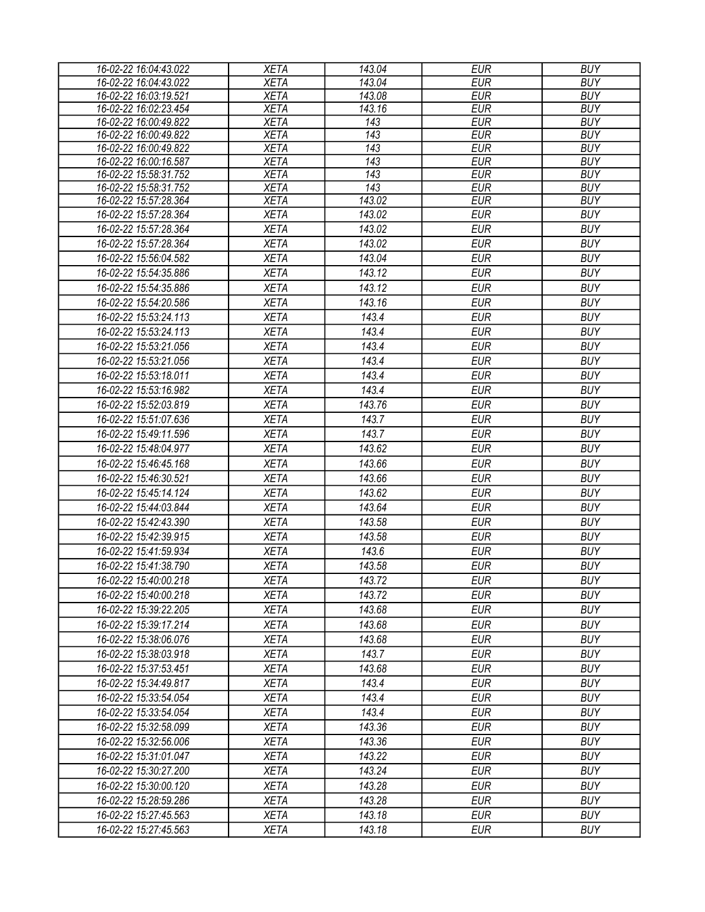| 16-02-22 16:04:43.022 | <b>XETA</b> | 143.04           | <b>EUR</b> | <b>BUY</b> |
|-----------------------|-------------|------------------|------------|------------|
| 16-02-22 16:04:43.022 | <b>XETA</b> | 143.04           | <b>EUR</b> | <b>BUY</b> |
| 16-02-22 16:03:19.521 | <b>XETA</b> | 143.08           | <b>EUR</b> | <b>BUY</b> |
| 16-02-22 16:02:23.454 | <b>XETA</b> | 143.16           | <b>EUR</b> | <b>BUY</b> |
| 16-02-22 16:00:49.822 | <b>XETA</b> | 143              | <b>EUR</b> | <b>BUY</b> |
| 16-02-22 16:00:49.822 | <b>XETA</b> | $\overline{143}$ | <b>EUR</b> | <b>BUY</b> |
| 16-02-22 16:00:49.822 | <b>XETA</b> | 143              | <b>EUR</b> | <b>BUY</b> |
| 16-02-22 16:00:16.587 | <b>XETA</b> | 143              | <b>EUR</b> | <b>BUY</b> |
| 16-02-22 15:58:31.752 | <b>XETA</b> | 143              | <b>EUR</b> | <b>BUY</b> |
| 16-02-22 15:58:31.752 | <b>XETA</b> | 143              | <b>EUR</b> | <b>BUY</b> |
| 16-02-22 15:57:28.364 | <b>XETA</b> | 143.02           | <b>EUR</b> | <b>BUY</b> |
| 16-02-22 15:57:28.364 | <b>XETA</b> | 143.02           | <b>EUR</b> | <b>BUY</b> |
| 16-02-22 15:57:28.364 | <b>XETA</b> | 143.02           | <b>EUR</b> | <b>BUY</b> |
| 16-02-22 15:57:28.364 | <b>XETA</b> | 143.02           | <b>EUR</b> | <b>BUY</b> |
| 16-02-22 15:56:04.582 | <b>XETA</b> | 143.04           | <b>EUR</b> | <b>BUY</b> |
| 16-02-22 15:54:35.886 | <b>XETA</b> | 143.12           | <b>EUR</b> | <b>BUY</b> |
| 16-02-22 15:54:35.886 | <b>XETA</b> | 143.12           | <b>EUR</b> | <b>BUY</b> |
| 16-02-22 15:54:20.586 | <b>XETA</b> | 143.16           | <b>EUR</b> | <b>BUY</b> |
| 16-02-22 15:53:24.113 | <b>XETA</b> | 143.4            | <b>EUR</b> | <b>BUY</b> |
| 16-02-22 15:53:24.113 | <b>XETA</b> | 143.4            | <b>EUR</b> | <b>BUY</b> |
| 16-02-22 15:53:21.056 | <b>XETA</b> | 143.4            | <b>EUR</b> | <b>BUY</b> |
| 16-02-22 15:53:21.056 | <b>XETA</b> | 143.4            | <b>EUR</b> | <b>BUY</b> |
| 16-02-22 15:53:18.011 | <b>XETA</b> | 143.4            | <b>EUR</b> | <b>BUY</b> |
|                       |             |                  | <b>EUR</b> | <b>BUY</b> |
| 16-02-22 15:53:16.982 | <b>XETA</b> | 143.4            |            |            |
| 16-02-22 15:52:03.819 | <b>XETA</b> | 143.76           | <b>EUR</b> | <b>BUY</b> |
| 16-02-22 15:51:07.636 | <b>XETA</b> | 143.7            | <b>EUR</b> | <b>BUY</b> |
| 16-02-22 15:49:11.596 | <b>XETA</b> | 143.7            | <b>EUR</b> | <b>BUY</b> |
| 16-02-22 15:48:04.977 | <b>XETA</b> | 143.62           | <b>EUR</b> | <b>BUY</b> |
| 16-02-22 15:46:45.168 | <b>XETA</b> | 143.66           | <b>EUR</b> | <b>BUY</b> |
| 16-02-22 15:46:30.521 | <b>XETA</b> | 143.66           | <b>EUR</b> | <b>BUY</b> |
| 16-02-22 15:45:14.124 | <b>XETA</b> | 143.62           | <b>EUR</b> | <b>BUY</b> |
| 16-02-22 15:44:03.844 | <b>XETA</b> | 143.64           | <b>EUR</b> | <b>BUY</b> |
| 16-02-22 15:42:43.390 | <b>XETA</b> | 143.58           | <b>EUR</b> | <b>BUY</b> |
| 16-02-22 15:42:39.915 | <b>XETA</b> | 143.58           | <b>EUR</b> | <b>BUY</b> |
| 16-02-22 15:41:59.934 | <b>XETA</b> | 143.6            | <b>EUR</b> | <b>BUY</b> |
| 16-02-22 15:41:38.790 | <b>XETA</b> | 143.58           | <b>EUR</b> | <b>BUY</b> |
| 16-02-22 15:40:00.218 | <b>XETA</b> | 143.72           | <b>EUR</b> | <b>BUY</b> |
| 16-02-22 15:40:00.218 | <b>XETA</b> | 143.72           | EUR        | <b>BUY</b> |
| 16-02-22 15:39:22.205 | <b>XETA</b> | 143.68           | <b>EUR</b> | <b>BUY</b> |
| 16-02-22 15:39:17.214 |             |                  | <b>EUR</b> | <b>BUY</b> |
|                       | <b>XETA</b> | 143.68           |            |            |
| 16-02-22 15:38:06.076 | <b>XETA</b> | 143.68           | <b>EUR</b> | <b>BUY</b> |
| 16-02-22 15:38:03.918 | <b>XETA</b> | 143.7            | <b>EUR</b> | <b>BUY</b> |
| 16-02-22 15:37:53.451 | <b>XETA</b> | 143.68           | <b>EUR</b> | <b>BUY</b> |
| 16-02-22 15:34:49.817 | <b>XETA</b> | 143.4            | <b>EUR</b> | <b>BUY</b> |
| 16-02-22 15:33:54.054 | <b>XETA</b> | 143.4            | <b>EUR</b> | <b>BUY</b> |
| 16-02-22 15:33:54.054 | <b>XETA</b> | 143.4            | <b>EUR</b> | <b>BUY</b> |
| 16-02-22 15:32:58.099 | <b>XETA</b> | 143.36           | <b>EUR</b> | <b>BUY</b> |
| 16-02-22 15:32:56.006 | <b>XETA</b> | 143.36           | <b>EUR</b> | <b>BUY</b> |
| 16-02-22 15:31:01.047 | <b>XETA</b> | 143.22           | <b>EUR</b> | <b>BUY</b> |
| 16-02-22 15:30:27.200 | <b>XETA</b> | 143.24           | <b>EUR</b> | <b>BUY</b> |
| 16-02-22 15:30:00.120 | <b>XETA</b> | 143.28           | <b>EUR</b> | <b>BUY</b> |
| 16-02-22 15:28:59.286 | <b>XETA</b> | 143.28           | <b>EUR</b> | <b>BUY</b> |
| 16-02-22 15:27:45.563 | <b>XETA</b> | 143.18           | <b>EUR</b> | <b>BUY</b> |
| 16-02-22 15:27:45.563 | <b>XETA</b> | 143.18           | <b>EUR</b> | <b>BUY</b> |
|                       |             |                  |            |            |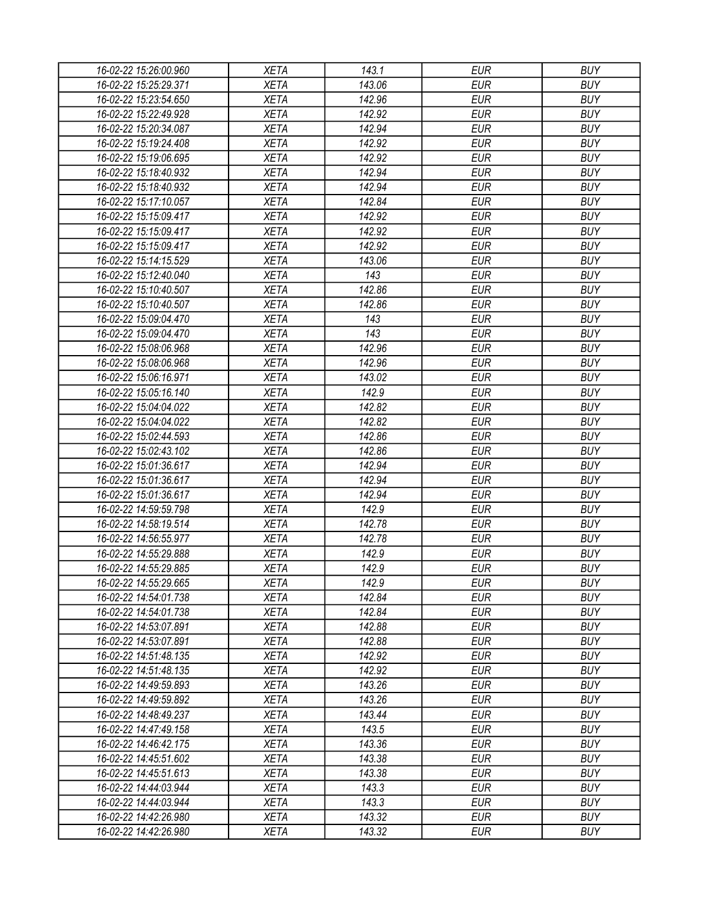| 16-02-22 15:26:00.960 | XETA        | 143.1           | EUR        | <b>BUY</b> |
|-----------------------|-------------|-----------------|------------|------------|
| 16-02-22 15:25:29.371 | <b>XETA</b> | 143.06          | <b>EUR</b> | <b>BUY</b> |
| 16-02-22 15:23:54.650 | <b>XETA</b> | 142.96          | <b>EUR</b> | <b>BUY</b> |
| 16-02-22 15:22:49.928 | <b>XETA</b> | 142.92          | <b>EUR</b> | <b>BUY</b> |
| 16-02-22 15:20:34.087 | <b>XETA</b> | 142.94          | <b>EUR</b> | <b>BUY</b> |
| 16-02-22 15:19:24.408 | <b>XETA</b> | 142.92          | <b>EUR</b> | <b>BUY</b> |
| 16-02-22 15:19:06.695 | <b>XETA</b> | 142.92          | <b>EUR</b> | <b>BUY</b> |
| 16-02-22 15:18:40.932 | <b>XETA</b> | 142.94          | <b>EUR</b> | <b>BUY</b> |
| 16-02-22 15:18:40.932 | <b>XETA</b> | 142.94          | <b>EUR</b> | <b>BUY</b> |
| 16-02-22 15:17:10.057 | <b>XETA</b> | 142.84          | <b>EUR</b> | <b>BUY</b> |
| 16-02-22 15:15:09.417 | <b>XETA</b> | 142.92          | <b>EUR</b> | <b>BUY</b> |
| 16-02-22 15:15:09.417 | <b>XETA</b> | 142.92          | <b>EUR</b> | <b>BUY</b> |
| 16-02-22 15:15:09.417 | <b>XETA</b> | 142.92          | <b>EUR</b> | <b>BUY</b> |
| 16-02-22 15:14:15.529 | <b>XETA</b> | 143.06          | <b>EUR</b> | <b>BUY</b> |
| 16-02-22 15:12:40.040 | <b>XETA</b> | 143             | <b>EUR</b> | <b>BUY</b> |
| 16-02-22 15:10:40.507 | <b>XETA</b> | 142.86          | <b>EUR</b> | <b>BUY</b> |
| 16-02-22 15:10:40.507 | <b>XETA</b> | 142.86          | <b>EUR</b> | <b>BUY</b> |
| 16-02-22 15:09:04.470 | <b>XETA</b> | 143             | <b>EUR</b> | <b>BUY</b> |
| 16-02-22 15:09:04.470 | <b>XETA</b> | 143             | <b>EUR</b> | <b>BUY</b> |
| 16-02-22 15:08:06.968 | <b>XETA</b> | 142.96          | <b>EUR</b> | <b>BUY</b> |
| 16-02-22 15:08:06.968 | <b>XETA</b> | 142.96          | <b>EUR</b> | <b>BUY</b> |
| 16-02-22 15:06:16.971 | <b>XETA</b> | 143.02          | <b>EUR</b> | <b>BUY</b> |
| 16-02-22 15:05:16.140 | <b>XETA</b> | 142.9           | <b>EUR</b> | <b>BUY</b> |
| 16-02-22 15:04:04.022 | <b>XETA</b> | 142.82          | <b>EUR</b> | <b>BUY</b> |
| 16-02-22 15:04:04.022 | <b>XETA</b> | 142.82          | <b>EUR</b> | <b>BUY</b> |
| 16-02-22 15:02:44.593 | <b>XETA</b> | 142.86          | EUR        | <b>BUY</b> |
| 16-02-22 15:02:43.102 | <b>XETA</b> | 142.86          | <b>EUR</b> | <b>BUY</b> |
| 16-02-22 15:01:36.617 | <b>XETA</b> | 142.94          | <b>EUR</b> | <b>BUY</b> |
| 16-02-22 15:01:36.617 | <b>XETA</b> | 142.94          | <b>EUR</b> | <b>BUY</b> |
| 16-02-22 15:01:36.617 | <b>XETA</b> | 142.94          | <b>EUR</b> | <b>BUY</b> |
| 16-02-22 14:59:59.798 | <b>XETA</b> | 142.9           | <b>EUR</b> | <b>BUY</b> |
| 16-02-22 14:58:19.514 | <b>XETA</b> | 142.78          | <b>EUR</b> | <b>BUY</b> |
| 16-02-22 14:56:55.977 | <b>XETA</b> | 142.78          | <b>EUR</b> | <b>BUY</b> |
| 16-02-22 14:55:29.888 | <b>XETA</b> | 142.9           | <b>EUR</b> | <b>BUY</b> |
|                       |             | 142.9           | <b>EUR</b> |            |
| 16-02-22 14:55:29.885 | <b>XETA</b> |                 |            | <b>BUY</b> |
| 16-02-22 14:55:29.665 | <b>XETA</b> | 142.9<br>142.84 | <b>EUR</b> | <b>BUY</b> |
| 16-02-22 14:54:01.738 | <b>XETA</b> |                 | <b>EUR</b> | <b>BUY</b> |
| 16-02-22 14:54:01.738 | <b>XETA</b> | 142.84          | <b>EUR</b> | <b>BUY</b> |
| 16-02-22 14:53:07.891 | <b>XETA</b> | 142.88          | <b>EUR</b> | <b>BUY</b> |
| 16-02-22 14:53:07.891 | <b>XETA</b> | 142.88          | <b>EUR</b> | <b>BUY</b> |
| 16-02-22 14:51:48.135 | <b>XETA</b> | 142.92          | <b>EUR</b> | <b>BUY</b> |
| 16-02-22 14:51:48.135 | <b>XETA</b> | 142.92          | <b>EUR</b> | <b>BUY</b> |
| 16-02-22 14:49:59.893 | <b>XETA</b> | 143.26          | <b>EUR</b> | <b>BUY</b> |
| 16-02-22 14:49:59.892 | <b>XETA</b> | 143.26          | <b>EUR</b> | <b>BUY</b> |
| 16-02-22 14:48:49.237 | <b>XETA</b> | 143.44          | <b>EUR</b> | <b>BUY</b> |
| 16-02-22 14:47:49.158 | <b>XETA</b> | 143.5           | <b>EUR</b> | <b>BUY</b> |
| 16-02-22 14:46:42.175 | <b>XETA</b> | 143.36          | <b>EUR</b> | <b>BUY</b> |
| 16-02-22 14:45:51.602 | <b>XETA</b> | 143.38          | <b>EUR</b> | <b>BUY</b> |
| 16-02-22 14:45:51.613 | <b>XETA</b> | 143.38          | <b>EUR</b> | <b>BUY</b> |
| 16-02-22 14:44:03.944 | <b>XETA</b> | 143.3           | <b>EUR</b> | <b>BUY</b> |
| 16-02-22 14:44:03.944 | <b>XETA</b> | 143.3           | EUR        | <b>BUY</b> |
| 16-02-22 14:42:26.980 | <b>XETA</b> | 143.32          | <b>EUR</b> | <b>BUY</b> |
| 16-02-22 14:42:26.980 | <b>XETA</b> | 143.32          | <b>EUR</b> | <b>BUY</b> |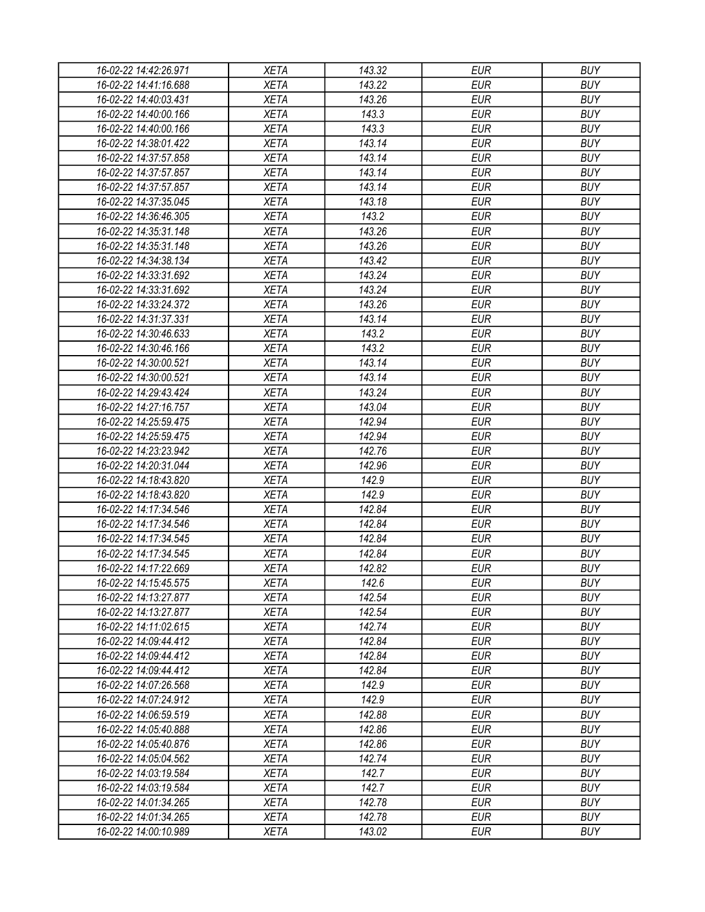| 16-02-22 14:42:26.971                          | XETA        | 143.32 | EUR                      | <b>BUY</b> |
|------------------------------------------------|-------------|--------|--------------------------|------------|
| 16-02-22 14:41:16.688                          | <b>XETA</b> | 143.22 | <b>EUR</b>               | <b>BUY</b> |
| 16-02-22 14:40:03.431                          | <b>XETA</b> | 143.26 | <b>EUR</b>               | <b>BUY</b> |
| 16-02-22 14:40:00.166                          | <b>XETA</b> | 143.3  | <b>EUR</b>               | <b>BUY</b> |
| 16-02-22 14:40:00.166                          | <b>XETA</b> | 143.3  | <b>EUR</b>               | <b>BUY</b> |
| 16-02-22 14:38:01.422                          | <b>XETA</b> | 143.14 | <b>EUR</b>               | <b>BUY</b> |
| 16-02-22 14:37:57.858                          | <b>XETA</b> | 143.14 | <b>EUR</b>               | <b>BUY</b> |
| 16-02-22 14:37:57.857                          | <b>XETA</b> | 143.14 | <b>EUR</b>               | <b>BUY</b> |
| 16-02-22 14:37:57.857                          | <b>XETA</b> | 143.14 | <b>EUR</b>               | <b>BUY</b> |
| 16-02-22 14:37:35.045                          | <b>XETA</b> | 143.18 | <b>EUR</b>               | <b>BUY</b> |
| 16-02-22 14:36:46.305                          | <b>XETA</b> | 143.2  | <b>EUR</b>               | <b>BUY</b> |
| 16-02-22 14:35:31.148                          | <b>XETA</b> | 143.26 | <b>EUR</b>               | <b>BUY</b> |
| 16-02-22 14:35:31.148                          | <b>XETA</b> | 143.26 | <b>EUR</b>               | <b>BUY</b> |
| 16-02-22 14:34:38.134                          | <b>XETA</b> | 143.42 | <b>EUR</b>               | <b>BUY</b> |
| 16-02-22 14:33:31.692                          | <b>XETA</b> | 143.24 | <b>EUR</b>               | <b>BUY</b> |
| 16-02-22 14:33:31.692                          | <b>XETA</b> | 143.24 | <b>EUR</b>               | <b>BUY</b> |
| 16-02-22 14:33:24.372                          | <b>XETA</b> | 143.26 | <b>EUR</b>               | <b>BUY</b> |
| 16-02-22 14:31:37.331                          | <b>XETA</b> | 143.14 | <b>EUR</b>               | <b>BUY</b> |
| 16-02-22 14:30:46.633                          | <b>XETA</b> | 143.2  | <b>EUR</b>               | <b>BUY</b> |
| 16-02-22 14:30:46.166                          | <b>XETA</b> | 143.2  | <b>EUR</b>               | <b>BUY</b> |
| 16-02-22 14:30:00.521                          | <b>XETA</b> | 143.14 | <b>EUR</b>               | <b>BUY</b> |
| 16-02-22 14:30:00.521                          | <b>XETA</b> | 143.14 | <b>EUR</b>               | <b>BUY</b> |
| 16-02-22 14:29:43.424                          | <b>XETA</b> | 143.24 | <b>EUR</b>               | <b>BUY</b> |
| 16-02-22 14:27:16.757                          | <b>XETA</b> | 143.04 | <b>EUR</b>               | <b>BUY</b> |
| 16-02-22 14:25:59.475                          | <b>XETA</b> | 142.94 | <b>EUR</b>               | <b>BUY</b> |
| 16-02-22 14:25:59.475                          | <b>XETA</b> | 142.94 | EUR                      | <b>BUY</b> |
| 16-02-22 14:23:23.942                          | <b>XETA</b> | 142.76 | <b>EUR</b>               | <b>BUY</b> |
| 16-02-22 14:20:31.044                          | <b>XETA</b> | 142.96 | <b>EUR</b>               | <b>BUY</b> |
| 16-02-22 14:18:43.820                          | <b>XETA</b> | 142.9  | <b>EUR</b>               | <b>BUY</b> |
| 16-02-22 14:18:43.820                          | <b>XETA</b> | 142.9  | <b>EUR</b>               | <b>BUY</b> |
| 16-02-22 14:17:34.546                          | <b>XETA</b> | 142.84 | <b>EUR</b>               | <b>BUY</b> |
| 16-02-22 14:17:34.546                          | <b>XETA</b> | 142.84 | <b>EUR</b>               | <b>BUY</b> |
| 16-02-22 14:17:34.545                          | <b>XETA</b> | 142.84 | <b>EUR</b>               | <b>BUY</b> |
| 16-02-22 14:17:34.545                          | <b>XETA</b> | 142.84 | <b>EUR</b>               | <b>BUY</b> |
| 16-02-22 14:17:22.669                          | <b>XETA</b> | 142.82 | <b>EUR</b>               | <b>BUY</b> |
| 16-02-22 14:15:45.575                          | <b>XETA</b> | 142.6  | <b>EUR</b>               | <b>BUY</b> |
| 16-02-22 14:13:27.877                          | <b>XETA</b> | 142.54 | <b>EUR</b>               | <b>BUY</b> |
| 16-02-22 14:13:27.877                          | <b>XETA</b> | 142.54 | <b>EUR</b>               | <b>BUY</b> |
|                                                | <b>XETA</b> | 142.74 | <b>EUR</b>               | <b>BUY</b> |
| 16-02-22 14:11:02.615                          |             | 142.84 |                          | <b>BUY</b> |
| 16-02-22 14:09:44.412<br>16-02-22 14:09:44.412 | <b>XETA</b> |        | <b>EUR</b><br><b>EUR</b> | <b>BUY</b> |
|                                                | <b>XETA</b> | 142.84 |                          |            |
| 16-02-22 14:09:44.412                          | <b>XETA</b> | 142.84 | <b>EUR</b>               | <b>BUY</b> |
| 16-02-22 14:07:26.568                          | <b>XETA</b> | 142.9  | <b>EUR</b>               | <b>BUY</b> |
| 16-02-22 14:07:24.912                          | <b>XETA</b> | 142.9  | <b>EUR</b>               | <b>BUY</b> |
| 16-02-22 14:06:59.519                          | <b>XETA</b> | 142.88 | <b>EUR</b>               | <b>BUY</b> |
| 16-02-22 14:05:40.888                          | <b>XETA</b> | 142.86 | <b>EUR</b>               | <b>BUY</b> |
| 16-02-22 14:05:40.876                          | <b>XETA</b> | 142.86 | <b>EUR</b>               | <b>BUY</b> |
| 16-02-22 14:05:04.562                          | <b>XETA</b> | 142.74 | <b>EUR</b>               | <b>BUY</b> |
| 16-02-22 14:03:19.584                          | <b>XETA</b> | 142.7  | <b>EUR</b>               | <b>BUY</b> |
| 16-02-22 14:03:19.584                          | <b>XETA</b> | 142.7  | <b>EUR</b>               | <b>BUY</b> |
| 16-02-22 14:01:34.265                          | <b>XETA</b> | 142.78 | EUR                      | <b>BUY</b> |
| 16-02-22 14:01:34.265                          | <b>XETA</b> | 142.78 | <b>EUR</b>               | <b>BUY</b> |
| 16-02-22 14:00:10.989                          | XETA        | 143.02 | <b>EUR</b>               | <b>BUY</b> |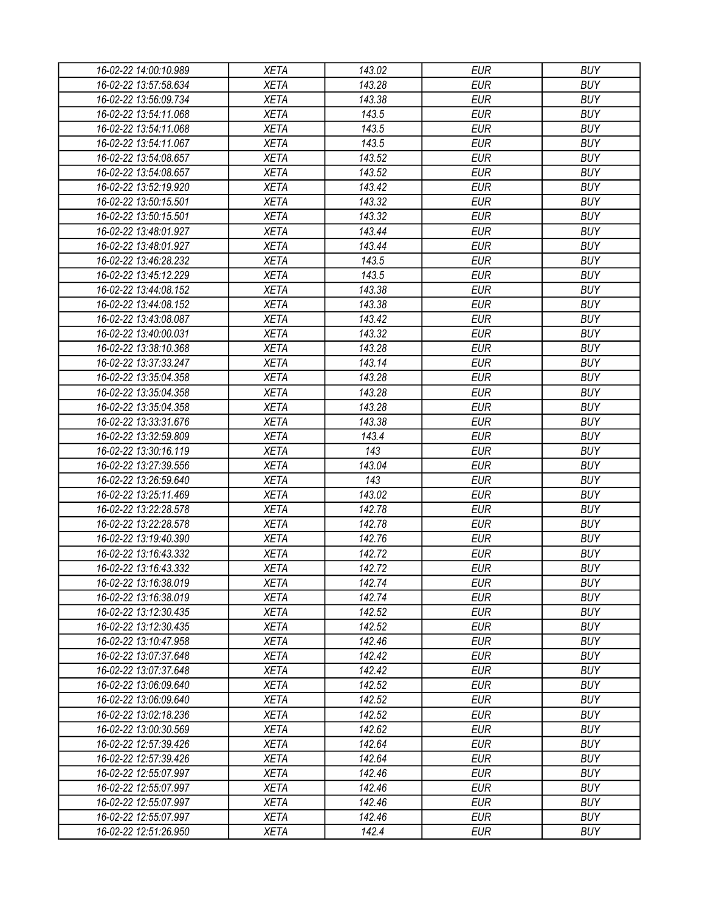| 16-02-22 14:00:10.989 | <b>XETA</b> | 143.02 | <b>EUR</b> | <b>BUY</b> |
|-----------------------|-------------|--------|------------|------------|
| 16-02-22 13:57:58.634 | <b>XETA</b> | 143.28 | <b>EUR</b> | <b>BUY</b> |
| 16-02-22 13:56:09.734 | <b>XETA</b> | 143.38 | <b>EUR</b> | <b>BUY</b> |
| 16-02-22 13:54:11.068 | <b>XETA</b> | 143.5  | <b>EUR</b> | <b>BUY</b> |
| 16-02-22 13:54:11.068 | <b>XETA</b> | 143.5  | <b>EUR</b> | <b>BUY</b> |
| 16-02-22 13:54:11.067 | <b>XETA</b> | 143.5  | <b>EUR</b> | <b>BUY</b> |
| 16-02-22 13:54:08.657 | <b>XETA</b> | 143.52 | <b>EUR</b> | <b>BUY</b> |
| 16-02-22 13:54:08.657 | <b>XETA</b> | 143.52 | <b>EUR</b> | <b>BUY</b> |
| 16-02-22 13:52:19.920 | <b>XETA</b> | 143.42 | <b>EUR</b> | <b>BUY</b> |
| 16-02-22 13:50:15.501 | <b>XETA</b> | 143.32 | <b>EUR</b> | <b>BUY</b> |
| 16-02-22 13:50:15.501 | <b>XETA</b> | 143.32 | <b>EUR</b> | <b>BUY</b> |
| 16-02-22 13:48:01.927 | <b>XETA</b> | 143.44 | <b>EUR</b> | <b>BUY</b> |
| 16-02-22 13:48:01.927 | <b>XETA</b> | 143.44 | <b>EUR</b> | <b>BUY</b> |
| 16-02-22 13:46:28.232 | <b>XETA</b> | 143.5  | <b>EUR</b> | <b>BUY</b> |
| 16-02-22 13:45:12.229 | <b>XETA</b> | 143.5  | <b>EUR</b> | <b>BUY</b> |
| 16-02-22 13:44:08.152 | <b>XETA</b> | 143.38 | <b>EUR</b> | <b>BUY</b> |
| 16-02-22 13:44:08.152 | <b>XETA</b> | 143.38 | <b>EUR</b> | <b>BUY</b> |
| 16-02-22 13:43:08.087 | <b>XETA</b> | 143.42 | <b>EUR</b> | <b>BUY</b> |
| 16-02-22 13:40:00.031 | <b>XETA</b> | 143.32 | <b>EUR</b> | <b>BUY</b> |
| 16-02-22 13:38:10.368 | <b>XETA</b> | 143.28 | <b>EUR</b> | <b>BUY</b> |
| 16-02-22 13:37:33.247 | <b>XETA</b> | 143.14 | <b>EUR</b> | <b>BUY</b> |
| 16-02-22 13:35:04.358 | <b>XETA</b> | 143.28 | <b>EUR</b> | <b>BUY</b> |
| 16-02-22 13:35:04.358 | <b>XETA</b> | 143.28 | <b>EUR</b> | <b>BUY</b> |
| 16-02-22 13:35:04.358 | <b>XETA</b> | 143.28 | <b>EUR</b> | <b>BUY</b> |
| 16-02-22 13:33:31.676 | <b>XETA</b> | 143.38 | <b>EUR</b> | <b>BUY</b> |
| 16-02-22 13:32:59.809 | <b>XETA</b> | 143.4  | <b>EUR</b> | <b>BUY</b> |
| 16-02-22 13:30:16.119 | <b>XETA</b> | 143    | <b>EUR</b> | <b>BUY</b> |
| 16-02-22 13:27:39.556 | <b>XETA</b> | 143.04 | <b>EUR</b> | <b>BUY</b> |
| 16-02-22 13:26:59.640 | <b>XETA</b> | 143    | <b>EUR</b> | <b>BUY</b> |
| 16-02-22 13:25:11.469 | <b>XETA</b> | 143.02 | <b>EUR</b> | <b>BUY</b> |
| 16-02-22 13:22:28.578 | <b>XETA</b> | 142.78 | <b>EUR</b> | <b>BUY</b> |
| 16-02-22 13:22:28.578 | <b>XETA</b> | 142.78 | <b>EUR</b> | <b>BUY</b> |
| 16-02-22 13:19:40.390 | <b>XETA</b> | 142.76 | <b>EUR</b> | <b>BUY</b> |
| 16-02-22 13:16:43.332 | <b>XETA</b> | 142.72 | <b>EUR</b> | <b>BUY</b> |
| 16-02-22 13:16:43.332 |             |        | <b>EUR</b> | <b>BUY</b> |
|                       | <b>XETA</b> | 142.72 |            |            |
| 16-02-22 13:16:38.019 | <b>XETA</b> | 142.74 | <b>EUR</b> | <b>BUY</b> |
| 16-02-22 13:16:38.019 | <b>XETA</b> | 142.74 | <b>EUR</b> | <b>BUY</b> |
| 16-02-22 13:12:30.435 | <b>XETA</b> | 142.52 | <b>EUR</b> | <b>BUY</b> |
| 16-02-22 13:12:30.435 | <b>XETA</b> | 142.52 | <b>EUR</b> | <b>BUY</b> |
| 16-02-22 13:10:47.958 | <b>XETA</b> | 142.46 | <b>EUR</b> | <b>BUY</b> |
| 16-02-22 13:07:37.648 | <b>XETA</b> | 142.42 | <b>EUR</b> | <b>BUY</b> |
| 16-02-22 13:07:37.648 | <b>XETA</b> | 142.42 | <b>EUR</b> | <b>BUY</b> |
| 16-02-22 13:06:09.640 | <b>XETA</b> | 142.52 | <b>EUR</b> | <b>BUY</b> |
| 16-02-22 13:06:09.640 | <b>XETA</b> | 142.52 | <b>EUR</b> | <b>BUY</b> |
| 16-02-22 13:02:18.236 | <b>XETA</b> | 142.52 | <b>EUR</b> | <b>BUY</b> |
| 16-02-22 13:00:30.569 | <b>XETA</b> | 142.62 | <b>EUR</b> | <b>BUY</b> |
| 16-02-22 12:57:39.426 | <b>XETA</b> | 142.64 | <b>EUR</b> | <b>BUY</b> |
| 16-02-22 12:57:39.426 | <b>XETA</b> | 142.64 | <b>EUR</b> | <b>BUY</b> |
| 16-02-22 12:55:07.997 | <b>XETA</b> | 142.46 | <b>EUR</b> | <b>BUY</b> |
| 16-02-22 12:55:07.997 | <b>XETA</b> | 142.46 | <b>EUR</b> | <b>BUY</b> |
| 16-02-22 12:55:07.997 | <b>XETA</b> | 142.46 | <b>EUR</b> | <b>BUY</b> |
| 16-02-22 12:55:07.997 | <b>XETA</b> | 142.46 | <b>EUR</b> | <b>BUY</b> |
| 16-02-22 12:51:26.950 | <b>XETA</b> | 142.4  | <b>EUR</b> | <b>BUY</b> |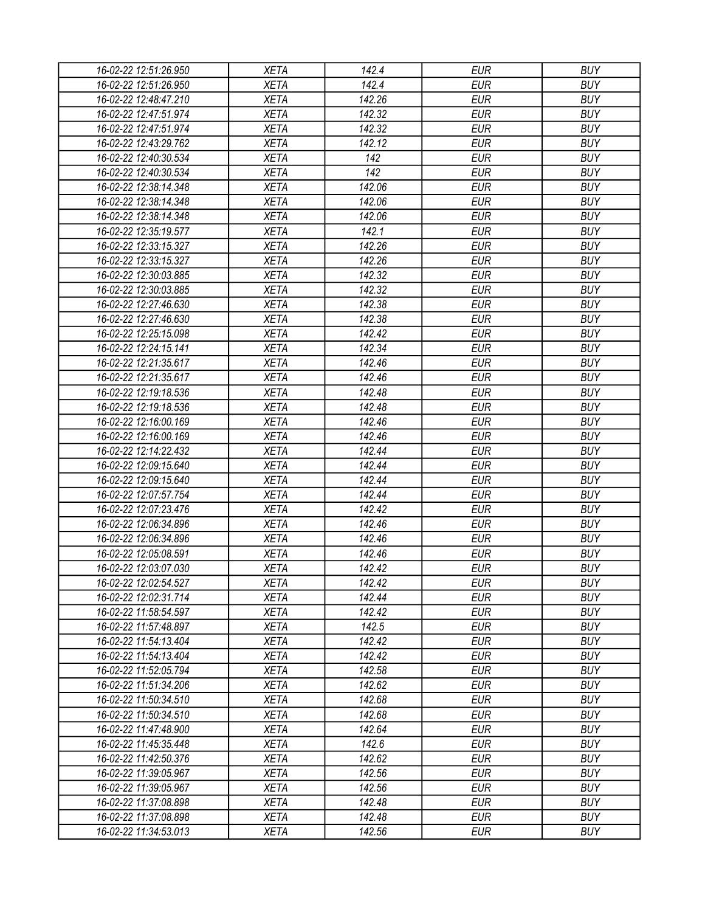| 16-02-22 12:51:26.950 | XETA                       | 142.4            | EUR        | <b>BUY</b> |
|-----------------------|----------------------------|------------------|------------|------------|
| 16-02-22 12:51:26.950 | <b>XETA</b>                | 142.4            | <b>EUR</b> | <b>BUY</b> |
| 16-02-22 12:48:47.210 | <b>XETA</b>                | 142.26           | <b>EUR</b> | <b>BUY</b> |
| 16-02-22 12:47:51.974 | <b>XETA</b>                | 142.32           | <b>EUR</b> | <b>BUY</b> |
| 16-02-22 12:47:51.974 | <b>XETA</b>                | 142.32           | <b>EUR</b> | <b>BUY</b> |
| 16-02-22 12:43:29.762 | <b>XETA</b>                | 142.12           | <b>EUR</b> | <b>BUY</b> |
| 16-02-22 12:40:30.534 | <b>XETA</b>                | 142              | <b>EUR</b> | <b>BUY</b> |
| 16-02-22 12:40:30.534 | <b>XETA</b>                | 142              | <b>EUR</b> | <b>BUY</b> |
| 16-02-22 12:38:14.348 | <b>XETA</b>                | 142.06           | <b>EUR</b> | <b>BUY</b> |
| 16-02-22 12:38:14.348 | <b>XETA</b>                | 142.06           | <b>EUR</b> | <b>BUY</b> |
| 16-02-22 12:38:14.348 | <b>XETA</b>                | 142.06           | <b>EUR</b> | <b>BUY</b> |
| 16-02-22 12:35:19.577 | <b>XETA</b>                | 142.1            | <b>EUR</b> | <b>BUY</b> |
| 16-02-22 12:33:15.327 | <b>XETA</b>                | 142.26           | <b>EUR</b> | <b>BUY</b> |
| 16-02-22 12:33:15.327 | <b>XETA</b>                | 142.26           | <b>EUR</b> | <b>BUY</b> |
| 16-02-22 12:30:03.885 | <b>XETA</b>                | 142.32           | <b>EUR</b> | <b>BUY</b> |
| 16-02-22 12:30:03.885 | <b>XETA</b>                | 142.32           | <b>EUR</b> | <b>BUY</b> |
| 16-02-22 12:27:46.630 | <b>XETA</b>                | 142.38           | <b>EUR</b> | <b>BUY</b> |
| 16-02-22 12:27:46.630 | <b>XETA</b>                | 142.38           | <b>EUR</b> | <b>BUY</b> |
| 16-02-22 12:25:15.098 | <b>XETA</b>                | 142.42           | <b>EUR</b> | <b>BUY</b> |
| 16-02-22 12:24:15.141 | <b>XETA</b>                | 142.34           | <b>EUR</b> | <b>BUY</b> |
| 16-02-22 12:21:35.617 | <b>XETA</b>                | 142.46           | <b>EUR</b> | <b>BUY</b> |
| 16-02-22 12:21:35.617 | <b>XETA</b>                | 142.46           | <b>EUR</b> | <b>BUY</b> |
| 16-02-22 12:19:18.536 | <b>XETA</b>                | 142.48           | <b>EUR</b> | <b>BUY</b> |
| 16-02-22 12:19:18.536 | <b>XETA</b>                | 142.48           | <b>EUR</b> | <b>BUY</b> |
| 16-02-22 12:16:00.169 | <b>XETA</b>                | 142.46           | <b>EUR</b> | <b>BUY</b> |
| 16-02-22 12:16:00.169 | <b>XETA</b>                | 142.46           | <b>EUR</b> | <b>BUY</b> |
| 16-02-22 12:14:22.432 | <b>XETA</b>                | 142.44           | <b>EUR</b> | <b>BUY</b> |
| 16-02-22 12:09:15.640 | <b>XETA</b>                | 142.44           | <b>EUR</b> | <b>BUY</b> |
| 16-02-22 12:09:15.640 | <b>XETA</b>                | 142.44           | <b>EUR</b> | <b>BUY</b> |
| 16-02-22 12:07:57.754 |                            |                  | <b>EUR</b> | <b>BUY</b> |
| 16-02-22 12:07:23.476 | <b>XETA</b><br><b>XETA</b> | 142.44<br>142.42 | <b>EUR</b> | <b>BUY</b> |
|                       |                            |                  |            | <b>BUY</b> |
| 16-02-22 12:06:34.896 | <b>XETA</b>                | 142.46           | <b>EUR</b> |            |
| 16-02-22 12:06:34.896 | <b>XETA</b>                | 142.46           | <b>EUR</b> | <b>BUY</b> |
| 16-02-22 12:05:08.591 | <b>XETA</b>                | 142.46           | <b>EUR</b> | <b>BUY</b> |
| 16-02-22 12:03:07.030 | <b>XETA</b>                | 142.42           | <b>EUR</b> | <b>BUY</b> |
| 16-02-22 12:02:54.527 | <b>XETA</b>                | 142.42           | <b>EUR</b> | <b>BUY</b> |
| 16-02-22 12:02:31.714 | <b>XETA</b>                | 142.44           | <b>EUR</b> | <b>BUY</b> |
| 16-02-22 11:58:54.597 | <b>XETA</b>                | 142.42           | <b>EUR</b> | <b>BUY</b> |
| 16-02-22 11:57:48.897 | <b>XETA</b>                | 142.5            | <b>EUR</b> | <b>BUY</b> |
| 16-02-22 11:54:13.404 | <b>XETA</b>                | 142.42           | <b>EUR</b> | <b>BUY</b> |
| 16-02-22 11:54:13.404 | <b>XETA</b>                | 142.42           | <b>EUR</b> | <b>BUY</b> |
| 16-02-22 11:52:05.794 | <b>XETA</b>                | 142.58           | <b>EUR</b> | <b>BUY</b> |
| 16-02-22 11:51:34.206 | <b>XETA</b>                | 142.62           | <b>EUR</b> | <b>BUY</b> |
| 16-02-22 11:50:34.510 | <b>XETA</b>                | 142.68           | <b>EUR</b> | <b>BUY</b> |
| 16-02-22 11:50:34.510 | <b>XETA</b>                | 142.68           | <b>EUR</b> | <b>BUY</b> |
| 16-02-22 11:47:48.900 | <b>XETA</b>                | 142.64           | <b>EUR</b> | <b>BUY</b> |
| 16-02-22 11:45:35.448 | <b>XETA</b>                | 142.6            | <b>EUR</b> | <b>BUY</b> |
| 16-02-22 11:42:50.376 | <b>XETA</b>                | 142.62           | <b>EUR</b> | <b>BUY</b> |
| 16-02-22 11:39:05.967 | <b>XETA</b>                | 142.56           | <b>EUR</b> | <b>BUY</b> |
| 16-02-22 11:39:05.967 | <b>XETA</b>                | 142.56           | <b>EUR</b> | <b>BUY</b> |
| 16-02-22 11:37:08.898 | <b>XETA</b>                | 142.48           | EUR        | <b>BUY</b> |
| 16-02-22 11:37:08.898 | <b>XETA</b>                | 142.48           | <b>EUR</b> | <b>BUY</b> |
| 16-02-22 11:34:53.013 | <b>XETA</b>                | 142.56           | <b>EUR</b> | <b>BUY</b> |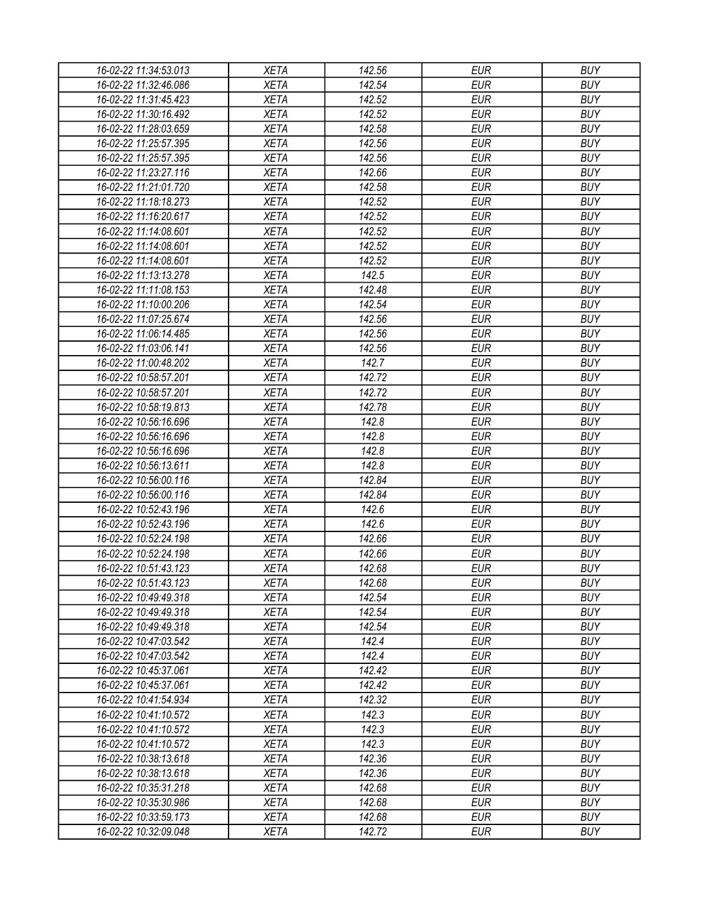| 16-02-22 11:34:53.013 | <b>XETA</b> | 142.56 | <b>EUR</b> | <b>BUY</b> |
|-----------------------|-------------|--------|------------|------------|
| 16-02-22 11:32:46.086 | <b>XETA</b> | 142.54 | <b>EUR</b> | <b>BUY</b> |
| 16-02-22 11:31:45.423 | <b>XETA</b> | 142.52 | <b>EUR</b> | <b>BUY</b> |
| 16-02-22 11:30:16.492 | <b>XETA</b> | 142.52 | <b>EUR</b> | <b>BUY</b> |
| 16-02-22 11:28:03.659 | <b>XETA</b> | 142.58 | <b>EUR</b> | <b>BUY</b> |
| 16-02-22 11:25:57.395 | <b>XETA</b> | 142.56 | <b>EUR</b> | <b>BUY</b> |
| 16-02-22 11:25:57.395 | <b>XETA</b> | 142.56 | <b>EUR</b> | <b>BUY</b> |
| 16-02-22 11:23:27.116 | <b>XETA</b> | 142.66 | <b>EUR</b> | <b>BUY</b> |
| 16-02-22 11:21:01.720 | <b>XETA</b> | 142.58 | <b>EUR</b> | <b>BUY</b> |
| 16-02-22 11:18:18.273 | <b>XETA</b> | 142.52 | <b>EUR</b> | <b>BUY</b> |
| 16-02-22 11:16:20.617 | <b>XETA</b> | 142.52 | <b>EUR</b> | <b>BUY</b> |
| 16-02-22 11:14:08.601 | <b>XETA</b> | 142.52 | <b>EUR</b> | <b>BUY</b> |
| 16-02-22 11:14:08.601 | <b>XETA</b> | 142.52 | <b>EUR</b> | <b>BUY</b> |
| 16-02-22 11:14:08.601 | <b>XETA</b> | 142.52 | <b>EUR</b> | <b>BUY</b> |
| 16-02-22 11:13:13.278 | <b>XETA</b> | 142.5  | <b>EUR</b> | <b>BUY</b> |
| 16-02-22 11:11:08.153 | <b>XETA</b> | 142.48 | <b>EUR</b> | <b>BUY</b> |
| 16-02-22 11:10:00.206 | <b>XETA</b> | 142.54 | <b>EUR</b> | <b>BUY</b> |
| 16-02-22 11:07:25.674 | <b>XETA</b> | 142.56 | <b>EUR</b> | <b>BUY</b> |
| 16-02-22 11:06:14.485 | <b>XETA</b> |        | <b>EUR</b> | <b>BUY</b> |
|                       |             | 142.56 |            |            |
| 16-02-22 11:03:06.141 | <b>XETA</b> | 142.56 | <b>EUR</b> | <b>BUY</b> |
| 16-02-22 11:00:48.202 | <b>XETA</b> | 142.7  | <b>EUR</b> | <b>BUY</b> |
| 16-02-22 10:58:57.201 | <b>XETA</b> | 142.72 | <b>EUR</b> | <b>BUY</b> |
| 16-02-22 10:58:57.201 | <b>XETA</b> | 142.72 | <b>EUR</b> | <b>BUY</b> |
| 16-02-22 10:58:19.813 | <b>XETA</b> | 142.78 | <b>EUR</b> | <b>BUY</b> |
| 16-02-22 10:56:16.696 | <b>XETA</b> | 142.8  | <b>EUR</b> | <b>BUY</b> |
| 16-02-22 10:56:16.696 | <b>XETA</b> | 142.8  | <b>EUR</b> | <b>BUY</b> |
| 16-02-22 10:56:16.696 | <b>XETA</b> | 142.8  | <b>EUR</b> | <b>BUY</b> |
| 16-02-22 10:56:13.611 | <b>XETA</b> | 142.8  | <b>EUR</b> | <b>BUY</b> |
| 16-02-22 10:56:00.116 | <b>XETA</b> | 142.84 | <b>EUR</b> | <b>BUY</b> |
| 16-02-22 10:56:00.116 | <b>XETA</b> | 142.84 | <b>EUR</b> | <b>BUY</b> |
| 16-02-22 10:52:43.196 | <b>XETA</b> | 142.6  | <b>EUR</b> | <b>BUY</b> |
| 16-02-22 10:52:43.196 | <b>XETA</b> | 142.6  | <b>EUR</b> | <b>BUY</b> |
| 16-02-22 10:52:24.198 | <b>XETA</b> | 142.66 | <b>EUR</b> | <b>BUY</b> |
| 16-02-22 10:52:24.198 | <b>XETA</b> | 142.66 | <b>EUR</b> | <b>BUY</b> |
| 16-02-22 10:51:43.123 | <b>XETA</b> | 142.68 | <b>EUR</b> | <b>BUY</b> |
| 16-02-22 10:51:43.123 | <b>XETA</b> | 142.68 | <b>EUR</b> | <b>BUY</b> |
| 16-02-22 10:49:49.318 | <b>XETA</b> | 142.54 | <b>EUR</b> | <b>BUY</b> |
| 16-02-22 10:49:49.318 | <b>XETA</b> | 142.54 | <b>EUR</b> | <b>BUY</b> |
| 16-02-22 10:49:49.318 | <b>XETA</b> | 142.54 | <b>EUR</b> | <b>BUY</b> |
| 16-02-22 10:47:03.542 | <b>XETA</b> | 142.4  | <b>EUR</b> | <b>BUY</b> |
| 16-02-22 10:47:03.542 | <b>XETA</b> | 142.4  | <b>EUR</b> | <b>BUY</b> |
| 16-02-22 10:45:37.061 | <b>XETA</b> | 142.42 | <b>EUR</b> | <b>BUY</b> |
| 16-02-22 10:45:37.061 | <b>XETA</b> | 142.42 | <b>EUR</b> | <b>BUY</b> |
| 16-02-22 10:41:54.934 | <b>XETA</b> | 142.32 | <b>EUR</b> | <b>BUY</b> |
| 16-02-22 10:41:10.572 | <b>XETA</b> | 142.3  | <b>EUR</b> | <b>BUY</b> |
| 16-02-22 10:41:10.572 | <b>XETA</b> | 142.3  | <b>EUR</b> | <b>BUY</b> |
| 16-02-22 10:41:10.572 | <b>XETA</b> | 142.3  | <b>EUR</b> | <b>BUY</b> |
| 16-02-22 10:38:13.618 | <b>XETA</b> | 142.36 | <b>EUR</b> | <b>BUY</b> |
| 16-02-22 10:38:13.618 | <b>XETA</b> | 142.36 | <b>EUR</b> | <b>BUY</b> |
| 16-02-22 10:35:31.218 | <b>XETA</b> | 142.68 | <b>EUR</b> | <b>BUY</b> |
| 16-02-22 10:35:30.986 | <b>XETA</b> | 142.68 | EUR        | <b>BUY</b> |
| 16-02-22 10:33:59.173 | XETA        | 142.68 | <b>EUR</b> | <b>BUY</b> |
| 16-02-22 10:32:09.048 | <b>XETA</b> | 142.72 | <b>EUR</b> | <b>BUY</b> |
|                       |             |        |            |            |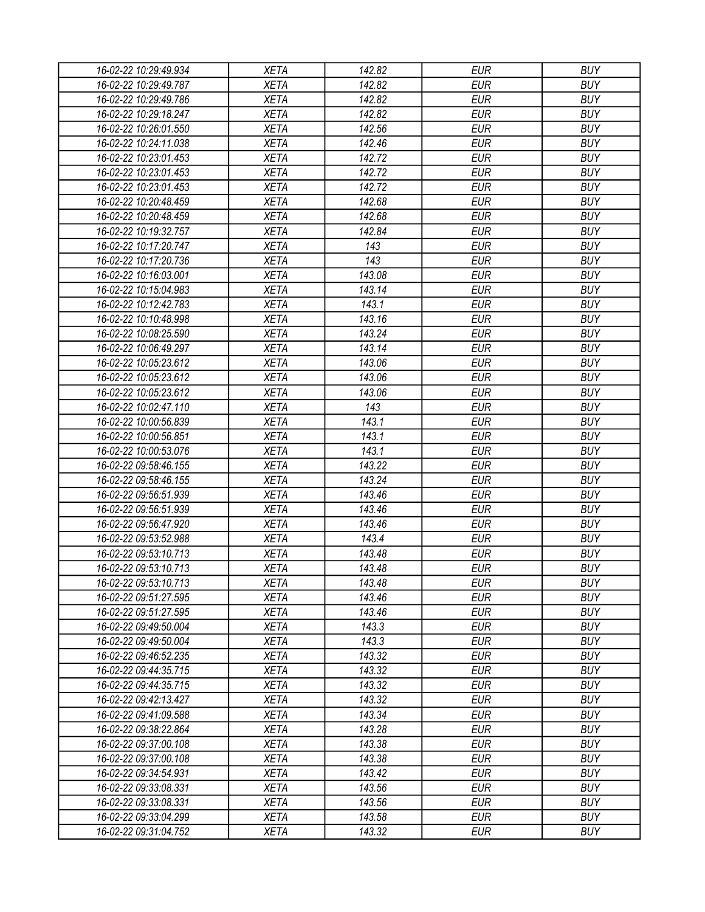| 16-02-22 10:29:49.934 | <b>XETA</b> | 142.82 | <b>EUR</b> | <b>BUY</b> |
|-----------------------|-------------|--------|------------|------------|
| 16-02-22 10:29:49.787 | <b>XETA</b> | 142.82 | <b>EUR</b> | <b>BUY</b> |
| 16-02-22 10:29:49.786 | <b>XETA</b> | 142.82 | <b>EUR</b> | <b>BUY</b> |
| 16-02-22 10:29:18.247 | <b>XETA</b> | 142.82 | <b>EUR</b> | <b>BUY</b> |
| 16-02-22 10:26:01.550 | <b>XETA</b> | 142.56 | <b>EUR</b> | <b>BUY</b> |
| 16-02-22 10:24:11.038 | <b>XETA</b> | 142.46 | <b>EUR</b> | <b>BUY</b> |
| 16-02-22 10:23:01.453 | <b>XETA</b> | 142.72 | <b>EUR</b> | <b>BUY</b> |
| 16-02-22 10:23:01.453 | <b>XETA</b> | 142.72 | <b>EUR</b> | <b>BUY</b> |
| 16-02-22 10:23:01.453 | <b>XETA</b> | 142.72 | <b>EUR</b> | <b>BUY</b> |
| 16-02-22 10:20:48.459 | <b>XETA</b> | 142.68 | <b>EUR</b> | <b>BUY</b> |
| 16-02-22 10:20:48.459 | <b>XETA</b> | 142.68 | <b>EUR</b> | <b>BUY</b> |
| 16-02-22 10:19:32.757 | <b>XETA</b> | 142.84 | <b>EUR</b> | <b>BUY</b> |
| 16-02-22 10:17:20.747 | <b>XETA</b> | 143    | <b>EUR</b> | <b>BUY</b> |
| 16-02-22 10:17:20.736 | <b>XETA</b> | 143    | <b>EUR</b> | <b>BUY</b> |
| 16-02-22 10:16:03.001 | <b>XETA</b> | 143.08 | <b>EUR</b> | <b>BUY</b> |
| 16-02-22 10:15:04.983 | <b>XETA</b> | 143.14 | <b>EUR</b> | <b>BUY</b> |
| 16-02-22 10:12:42.783 | <b>XETA</b> | 143.1  | <b>EUR</b> | <b>BUY</b> |
| 16-02-22 10:10:48.998 | <b>XETA</b> | 143.16 | <b>EUR</b> | <b>BUY</b> |
| 16-02-22 10:08:25.590 | <b>XETA</b> | 143.24 | <b>EUR</b> | <b>BUY</b> |
| 16-02-22 10:06:49.297 | <b>XETA</b> | 143.14 | <b>EUR</b> | <b>BUY</b> |
| 16-02-22 10:05:23.612 | <b>XETA</b> | 143.06 | <b>EUR</b> | <b>BUY</b> |
|                       | <b>XETA</b> |        |            |            |
| 16-02-22 10:05:23.612 |             | 143.06 | <b>EUR</b> | <b>BUY</b> |
| 16-02-22 10:05:23.612 | <b>XETA</b> | 143.06 | <b>EUR</b> | <b>BUY</b> |
| 16-02-22 10:02:47.110 | <b>XETA</b> | 143    | <b>EUR</b> | <b>BUY</b> |
| 16-02-22 10:00:56.839 | <b>XETA</b> | 143.1  | <b>EUR</b> | <b>BUY</b> |
| 16-02-22 10:00:56.851 | <b>XETA</b> | 143.1  | <b>EUR</b> | <b>BUY</b> |
| 16-02-22 10:00:53.076 | <b>XETA</b> | 143.1  | <b>EUR</b> | <b>BUY</b> |
| 16-02-22 09:58:46.155 | <b>XETA</b> | 143.22 | <b>EUR</b> | <b>BUY</b> |
| 16-02-22 09:58:46.155 | <b>XETA</b> | 143.24 | <b>EUR</b> | <b>BUY</b> |
| 16-02-22 09:56:51.939 | <b>XETA</b> | 143.46 | <b>EUR</b> | <b>BUY</b> |
| 16-02-22 09:56:51.939 | <b>XETA</b> | 143.46 | <b>EUR</b> | <b>BUY</b> |
| 16-02-22 09:56:47.920 | <b>XETA</b> | 143.46 | <b>EUR</b> | <b>BUY</b> |
| 16-02-22 09:53:52.988 | <b>XETA</b> | 143.4  | <b>EUR</b> | <b>BUY</b> |
| 16-02-22 09:53:10.713 | <b>XETA</b> | 143.48 | <b>EUR</b> | <b>BUY</b> |
| 16-02-22 09:53:10.713 | <b>XETA</b> | 143.48 | <b>EUR</b> | <b>BUY</b> |
| 16-02-22 09:53:10.713 | <b>XETA</b> | 143.48 | <b>EUR</b> | <b>BUY</b> |
| 16-02-22 09:51:27.595 | <b>XETA</b> | 143.46 | <b>EUR</b> | <b>BUY</b> |
| 16-02-22 09:51:27.595 | <b>XETA</b> | 143.46 | <b>EUR</b> | <b>BUY</b> |
| 16-02-22 09:49:50.004 | <b>XETA</b> | 143.3  | <b>EUR</b> | <b>BUY</b> |
| 16-02-22 09:49:50.004 | <b>XETA</b> | 143.3  | <b>EUR</b> | <b>BUY</b> |
| 16-02-22 09:46:52.235 | <b>XETA</b> | 143.32 | <b>EUR</b> | <b>BUY</b> |
| 16-02-22 09:44:35.715 | <b>XETA</b> | 143.32 | <b>EUR</b> | <b>BUY</b> |
| 16-02-22 09:44:35.715 | <b>XETA</b> | 143.32 | <b>EUR</b> | <b>BUY</b> |
| 16-02-22 09:42:13.427 | <b>XETA</b> | 143.32 | <b>EUR</b> | <b>BUY</b> |
| 16-02-22 09:41:09.588 | <b>XETA</b> | 143.34 | <b>EUR</b> | <b>BUY</b> |
| 16-02-22 09:38:22.864 | <b>XETA</b> | 143.28 | <b>EUR</b> | <b>BUY</b> |
| 16-02-22 09:37:00.108 | <b>XETA</b> | 143.38 | <b>EUR</b> | <b>BUY</b> |
| 16-02-22 09:37:00.108 | <b>XETA</b> | 143.38 | <b>EUR</b> | <b>BUY</b> |
| 16-02-22 09:34:54.931 | <b>XETA</b> | 143.42 | <b>EUR</b> | <b>BUY</b> |
| 16-02-22 09:33:08.331 | <b>XETA</b> | 143.56 | <b>EUR</b> | <b>BUY</b> |
| 16-02-22 09:33:08.331 | <b>XETA</b> | 143.56 | <b>EUR</b> | <b>BUY</b> |
| 16-02-22 09:33:04.299 | XETA        | 143.58 | <b>EUR</b> | <b>BUY</b> |
| 16-02-22 09:31:04.752 | <b>XETA</b> | 143.32 | <b>EUR</b> | <b>BUY</b> |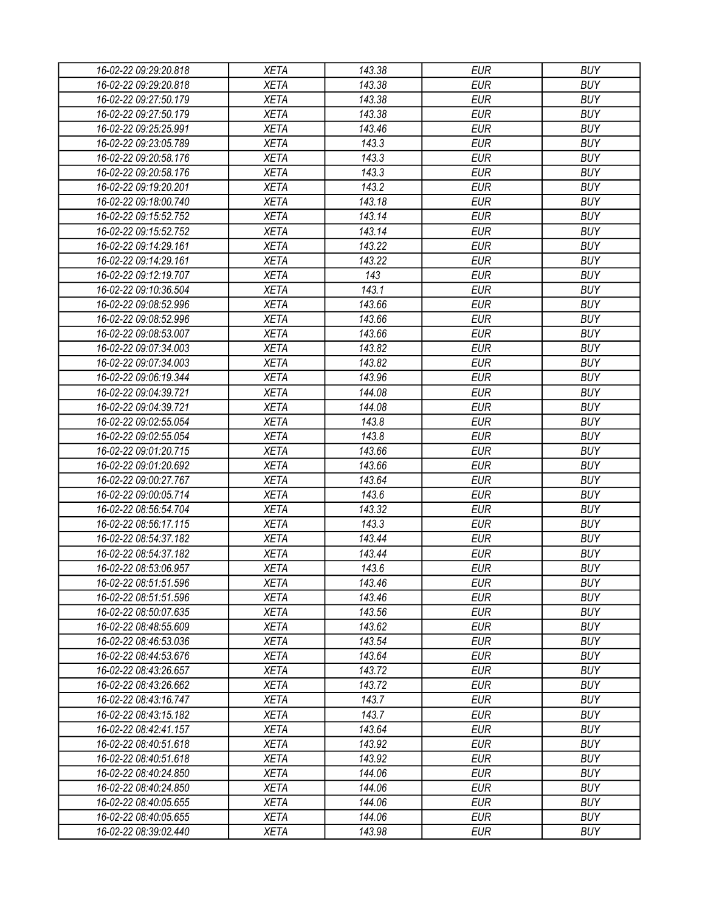| 16-02-22 09:29:20.818 | <b>XETA</b> | 143.38 | <b>EUR</b> | <b>BUY</b> |
|-----------------------|-------------|--------|------------|------------|
| 16-02-22 09:29:20.818 | <b>XETA</b> | 143.38 | <b>EUR</b> | <b>BUY</b> |
| 16-02-22 09:27:50.179 | <b>XETA</b> | 143.38 | <b>EUR</b> | <b>BUY</b> |
| 16-02-22 09:27:50.179 | <b>XETA</b> | 143.38 | <b>EUR</b> | <b>BUY</b> |
| 16-02-22 09:25:25.991 | <b>XETA</b> | 143.46 | <b>EUR</b> | <b>BUY</b> |
| 16-02-22 09:23:05.789 | <b>XETA</b> | 143.3  | <b>EUR</b> | <b>BUY</b> |
| 16-02-22 09:20:58.176 | <b>XETA</b> | 143.3  | <b>EUR</b> | <b>BUY</b> |
| 16-02-22 09:20:58.176 | <b>XETA</b> | 143.3  | <b>EUR</b> | <b>BUY</b> |
| 16-02-22 09:19:20.201 | <b>XETA</b> | 143.2  | <b>EUR</b> | <b>BUY</b> |
| 16-02-22 09:18:00.740 | <b>XETA</b> | 143.18 | <b>EUR</b> | <b>BUY</b> |
| 16-02-22 09:15:52.752 | <b>XETA</b> | 143.14 | <b>EUR</b> | <b>BUY</b> |
| 16-02-22 09:15:52.752 | <b>XETA</b> | 143.14 | <b>EUR</b> | <b>BUY</b> |
| 16-02-22 09:14:29.161 | <b>XETA</b> | 143.22 | <b>EUR</b> | <b>BUY</b> |
| 16-02-22 09:14:29.161 | <b>XETA</b> | 143.22 | <b>EUR</b> | <b>BUY</b> |
| 16-02-22 09:12:19.707 | <b>XETA</b> | 143    | <b>EUR</b> | <b>BUY</b> |
| 16-02-22 09:10:36.504 | <b>XETA</b> | 143.1  | <b>EUR</b> | <b>BUY</b> |
| 16-02-22 09:08:52.996 | <b>XETA</b> | 143.66 | <b>EUR</b> | <b>BUY</b> |
| 16-02-22 09:08:52.996 | <b>XETA</b> | 143.66 | <b>EUR</b> | <b>BUY</b> |
| 16-02-22 09:08:53.007 | <b>XETA</b> | 143.66 | <b>EUR</b> | <b>BUY</b> |
| 16-02-22 09:07:34.003 | <b>XETA</b> | 143.82 | <b>EUR</b> | <b>BUY</b> |
| 16-02-22 09:07:34.003 | <b>XETA</b> | 143.82 | <b>EUR</b> | <b>BUY</b> |
| 16-02-22 09:06:19.344 | <b>XETA</b> | 143.96 | <b>EUR</b> | <b>BUY</b> |
|                       |             |        |            |            |
| 16-02-22 09:04:39.721 | <b>XETA</b> | 144.08 | <b>EUR</b> | <b>BUY</b> |
| 16-02-22 09:04:39.721 | <b>XETA</b> | 144.08 | <b>EUR</b> | <b>BUY</b> |
| 16-02-22 09:02:55.054 | <b>XETA</b> | 143.8  | <b>EUR</b> | <b>BUY</b> |
| 16-02-22 09:02:55.054 | <b>XETA</b> | 143.8  | <b>EUR</b> | <b>BUY</b> |
| 16-02-22 09:01:20.715 | <b>XETA</b> | 143.66 | <b>EUR</b> | <b>BUY</b> |
| 16-02-22 09:01:20.692 | <b>XETA</b> | 143.66 | <b>EUR</b> | <b>BUY</b> |
| 16-02-22 09:00:27.767 | <b>XETA</b> | 143.64 | <b>EUR</b> | <b>BUY</b> |
| 16-02-22 09:00:05.714 | <b>XETA</b> | 143.6  | <b>EUR</b> | <b>BUY</b> |
| 16-02-22 08:56:54.704 | <b>XETA</b> | 143.32 | <b>EUR</b> | <b>BUY</b> |
| 16-02-22 08:56:17.115 | <b>XETA</b> | 143.3  | <b>EUR</b> | <b>BUY</b> |
| 16-02-22 08:54:37.182 | <b>XETA</b> | 143.44 | <b>EUR</b> | <b>BUY</b> |
| 16-02-22 08:54:37.182 | <b>XETA</b> | 143.44 | <b>EUR</b> | <b>BUY</b> |
| 16-02-22 08:53:06.957 | <b>XETA</b> | 143.6  | <b>EUR</b> | <b>BUY</b> |
| 16-02-22 08:51:51.596 | <b>XETA</b> | 143.46 | <b>EUR</b> | <b>BUY</b> |
| 16-02-22 08:51:51.596 | <b>XETA</b> | 143.46 | <b>EUR</b> | <b>BUY</b> |
| 16-02-22 08:50:07.635 | <b>XETA</b> | 143.56 | <b>EUR</b> | <b>BUY</b> |
| 16-02-22 08:48:55.609 | <b>XETA</b> | 143.62 | <b>EUR</b> | <b>BUY</b> |
| 16-02-22 08:46:53.036 | <b>XETA</b> | 143.54 | <b>EUR</b> | <b>BUY</b> |
| 16-02-22 08:44:53.676 | <b>XETA</b> | 143.64 | <b>EUR</b> | <b>BUY</b> |
| 16-02-22 08:43:26.657 | <b>XETA</b> | 143.72 | <b>EUR</b> | <b>BUY</b> |
| 16-02-22 08:43:26.662 | <b>XETA</b> | 143.72 | <b>EUR</b> | <b>BUY</b> |
| 16-02-22 08:43:16.747 | <b>XETA</b> | 143.7  | <b>EUR</b> | <b>BUY</b> |
| 16-02-22 08:43:15.182 | <b>XETA</b> | 143.7  | <b>EUR</b> | <b>BUY</b> |
| 16-02-22 08:42:41.157 | <b>XETA</b> | 143.64 | <b>EUR</b> | <b>BUY</b> |
| 16-02-22 08:40:51.618 | <b>XETA</b> | 143.92 | <b>EUR</b> | <b>BUY</b> |
| 16-02-22 08:40:51.618 | <b>XETA</b> | 143.92 | <b>EUR</b> | <b>BUY</b> |
| 16-02-22 08:40:24.850 | <b>XETA</b> | 144.06 | <b>EUR</b> | <b>BUY</b> |
| 16-02-22 08:40:24.850 | <b>XETA</b> | 144.06 | <b>EUR</b> | <b>BUY</b> |
| 16-02-22 08:40:05.655 | <b>XETA</b> | 144.06 | EUR        | <b>BUY</b> |
| 16-02-22 08:40:05.655 | XETA        | 144.06 | <b>EUR</b> | <b>BUY</b> |
| 16-02-22 08:39:02.440 | <b>XETA</b> | 143.98 | <b>EUR</b> | <b>BUY</b> |